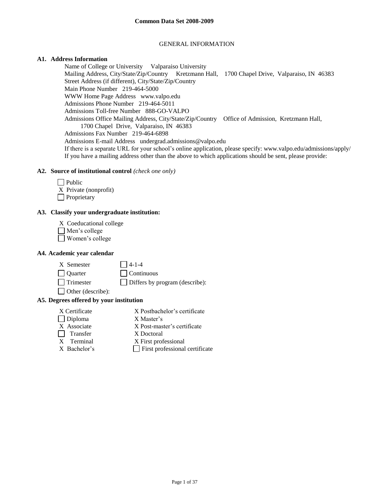#### GENERAL INFORMATION

# **A1. Address Information**

Name of College or University Valparaiso University Mailing Address, City/State/Zip/Country Kretzmann Hall, 1700 Chapel Drive, Valparaiso, IN 46383 Street Address (if different), City/State/Zip/Country Main Phone Number 219-464-5000 WWW Home Page Address www.valpo.edu Admissions Phone Number 219-464-5011 Admissions Toll-free Number 888-GO-VALPO Admissions Office Mailing Address, City/State/Zip/Country Office of Admission, Kretzmann Hall, 1700 Chapel Drive, Valparaiso, IN 46383 Admissions Fax Number 219-464-6898 Admissions E-mail Address undergrad.admissions@valpo.edu If there is a separate URL for your school's online application, please specify: www.valpo.edu/admissions/apply/ If you have a mailing address other than the above to which applications should be sent, please provide:

## **A2. Source of institutional control** *(check one only)*

| $ $ Public            |
|-----------------------|
| X Private (nonprofit) |
| Proprietary           |

### **A3. Classify your undergraduate institution:**

- X Coeducational college
- Men's college
- Women's college

#### **A4. Academic year calendar**

- $X$  Semester  $\Box$  4-1-4 Quarter Continuous Trimester Differs by program (describe):
- Other (describe):

#### **A5. Degrees offered by your institution**

X Certificate X Postbachelor's certificate Diploma X Master's X Associate X Post-master's certificate Transfer X Doctoral X Terminal X First professional  $X$  Bachelor's  $\Box$  First professional certificate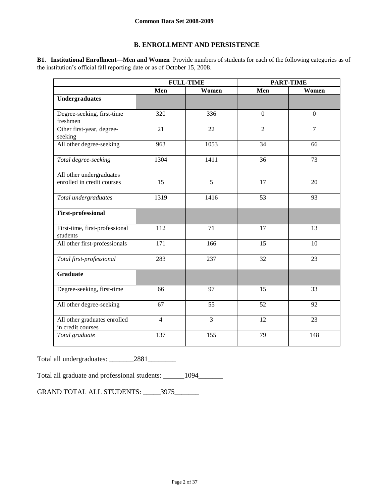# **B. ENROLLMENT AND PERSISTENCE**

**B1. Institutional Enrollment—Men and Women** Provide numbers of students for each of the following categories as of the institution's official fall reporting date or as of October 15, 2008.

|                                                   | <b>FULL-TIME</b> |                | <b>PART-TIME</b> |                  |
|---------------------------------------------------|------------------|----------------|------------------|------------------|
|                                                   | Men              | Women          | Men              | Women            |
| <b>Undergraduates</b>                             |                  |                |                  |                  |
| Degree-seeking, first-time<br>freshmen            | 320              | 336            | $\boldsymbol{0}$ | $\boldsymbol{0}$ |
| Other first-year, degree-<br>seeking              | 21               | 22             | $\overline{2}$   | $\overline{7}$   |
| All other degree-seeking                          | 963              | 1053           | 34               | 66               |
| Total degree-seeking                              | 1304             | 1411           | 36               | 73               |
| All other undergraduates                          |                  |                |                  |                  |
| enrolled in credit courses                        | 15               | 5              | 17               | 20               |
| Total undergraduates                              | 1319             | 1416           | 53               | 93               |
| <b>First-professional</b>                         |                  |                |                  |                  |
| First-time, first-professional<br>students        | 112              | 71             | 17               | 13               |
| All other first-professionals                     | 171              | 166            | 15               | 10               |
| Total first-professional                          | 283              | 237            | 32               | 23               |
| <b>Graduate</b>                                   |                  |                |                  |                  |
| Degree-seeking, first-time                        | 66               | 97             | 15               | 33               |
| All other degree-seeking                          | 67               | 55             | 52               | 92               |
| All other graduates enrolled<br>in credit courses | $\overline{4}$   | $\overline{3}$ | 12               | 23               |
| Total graduate                                    | 137              | 155            | 79               | 148              |

Total all undergraduates: \_\_\_\_\_\_\_2881\_\_\_\_\_\_\_\_

Total all graduate and professional students: \_\_\_\_\_\_1094\_\_\_\_\_\_\_

GRAND TOTAL ALL STUDENTS: \_\_\_\_\_\_3975\_\_\_\_\_\_\_\_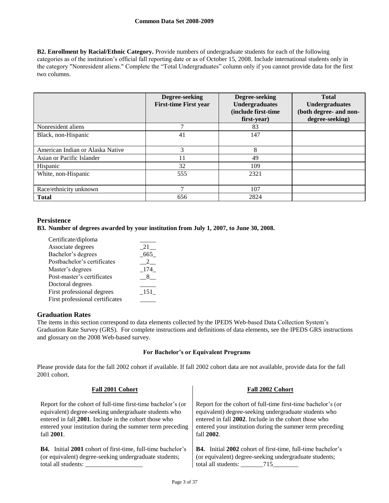**B2. Enrollment by Racial/Ethnic Category.** Provide numbers of undergraduate students for each of the following categories as of the institution's official fall reporting date or as of October 15, 2008. Include international students only in the category "Nonresident aliens." Complete the "Total Undergraduates" column only if you cannot provide data for the first two columns.

|                                  | Degree-seeking<br><b>First-time First year</b> | Degree-seeking<br><b>Undergraduates</b><br>(include first-time<br>first-year) | <b>Total</b><br><b>Undergraduates</b><br>(both degree- and non-<br>degree-seeking) |
|----------------------------------|------------------------------------------------|-------------------------------------------------------------------------------|------------------------------------------------------------------------------------|
| Nonresident aliens               |                                                | 83                                                                            |                                                                                    |
| Black, non-Hispanic              | 41                                             | 147                                                                           |                                                                                    |
| American Indian or Alaska Native | 3                                              | 8                                                                             |                                                                                    |
| Asian or Pacific Islander        | 11                                             | 49                                                                            |                                                                                    |
| Hispanic                         | 32                                             | 109                                                                           |                                                                                    |
| White, non-Hispanic              | 555                                            | 2321                                                                          |                                                                                    |
| Race/ethnicity unknown           |                                                | 107                                                                           |                                                                                    |
| <b>Total</b>                     | 656                                            | 2824                                                                          |                                                                                    |

# **Persistence**

### **B3. Number of degrees awarded by your institution from July 1, 2007, to June 30, 2008.**

| Certificate/diploma             |     |
|---------------------------------|-----|
| Associate degrees               | 21  |
| Bachelor's degrees              | 665 |
| Postbachelor's certificates     |     |
| Master's degrees                | 174 |
| Post-master's certificates      |     |
| Doctoral degrees                |     |
| First professional degrees      | 151 |
| First professional certificates |     |

# **Graduation Rates**

The items in this section correspond to data elements collected by the IPEDS Web-based Data Collection System's Graduation Rate Survey (GRS). For complete instructions and definitions of data elements, see the IPEDS GRS instructions and glossary on the 2008 Web-based survey.

#### **For Bachelor's or Equivalent Programs**

Please provide data for the fall 2002 cohort if available. If fall 2002 cohort data are not available, provide data for the fall 2001 cohort.

| Fall 2001 Cohort                                                   | Fall 2002 Cohort                                                   |  |  |
|--------------------------------------------------------------------|--------------------------------------------------------------------|--|--|
| Report for the cohort of full-time first-time bachelor's (or       | Report for the cohort of full-time first-time bachelor's (or       |  |  |
| equivalent) degree-seeking undergraduate students who              | equivalent) degree-seeking undergraduate students who              |  |  |
| entered in fall 2001. Include in the cohort those who              | entered in fall 2002. Include in the cohort those who              |  |  |
| entered your institution during the summer term preceding          | entered your institution during the summer term preceding          |  |  |
| fall 2001.                                                         | fall 2002.                                                         |  |  |
| <b>B4.</b> Initial 2001 cohort of first-time, full-time bachelor's | <b>B4.</b> Initial 2002 cohort of first-time, full-time bachelor's |  |  |
| (or equivalent) degree-seeking undergraduate students;             | (or equivalent) degree-seeking undergraduate students;             |  |  |
| total all students:                                                | total all students: 715                                            |  |  |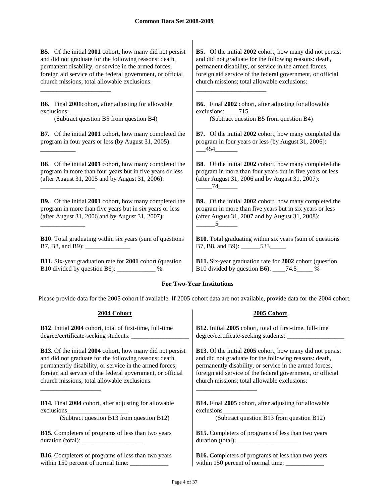**B5.** Of the initial **2001** cohort, how many did not persist and did not graduate for the following reasons: death, permanent disability, or service in the armed forces, foreign aid service of the federal government, or official church missions; total allowable exclusions:

**B6.** Final **2001**cohort, after adjusting for allowable exclusions:

(Subtract question B5 from question B4) (Subtract question B5 from question B4)

\_\_\_\_\_\_\_\_\_\_\_\_\_\_\_\_\_\_\_\_\_\_

\_\_\_\_\_\_\_\_\_\_\_

\_\_\_\_\_\_\_\_\_\_\_\_\_\_\_\_\_

\_\_\_\_\_\_\_\_\_\_\_\_\_\_

**B7.** Of the initial **2001** cohort, how many completed the program in four years or less (by August 31, 2005):

**B8**. Of the initial **2001** cohort, how many completed the program in more than four years but in five years or less (after August 31, 2005 and by August 31, 2006):

**B9.** Of the initial **2001** cohort, how many completed the program in more than five years but in six years or less (after August 31, 2006 and by August 31, 2007):

**B10**. Total graduating within six years (sum of questions B7, B8, and B9):

**B11.** Six-year graduation rate for **2001** cohort (question B10 divided by question B6): \_\_\_\_\_\_\_\_\_\_\_\_ %

**B5.** Of the initial **2002** cohort, how many did not persist and did not graduate for the following reasons: death, permanent disability, or service in the armed forces, foreign aid service of the federal government, or official church missions; total allowable exclusions:

**B6.** Final **2002** cohort, after adjusting for allowable exclusions: \_\_\_\_\_715\_

\_\_\_\_\_\_\_\_\_\_\_\_\_\_\_\_\_\_\_\_\_\_

**B7.** Of the initial **2002** cohort, how many completed the program in four years or less (by August 31, 2006):  $-454$ 

**B8**. Of the initial **2002** cohort, how many completed the program in more than four years but in five years or less (after August 31, 2006 and by August 31, 2007):  $74$ 

**B9.** Of the initial **2002** cohort, how many completed the program in more than five years but in six years or less (after August 31, 2007 and by August 31, 2008):  $5$ 

**B10**. Total graduating within six years (sum of questions B7, B8, and B9): 533

**B11.** Six-year graduation rate for **2002** cohort (question B10 divided by question B6): \_\_\_\_74.5\_\_\_\_\_ %

# **For Two-Year Institutions**

Please provide data for the 2005 cohort if available. If 2005 cohort data are not available, provide data for the 2004 cohort.

| 2004 Cohort                                                                                                                                                                                                                                                                                                                                                                                                                          | 2005 Cohort                                                      |
|--------------------------------------------------------------------------------------------------------------------------------------------------------------------------------------------------------------------------------------------------------------------------------------------------------------------------------------------------------------------------------------------------------------------------------------|------------------------------------------------------------------|
| <b>B12.</b> Initial 2004 cohort, total of first-time, full-time                                                                                                                                                                                                                                                                                                                                                                      | <b>B12.</b> Initial 2005 cohort, total of first-time, full-time  |
|                                                                                                                                                                                                                                                                                                                                                                                                                                      |                                                                  |
| <b>B13.</b> Of the initial 2004 cohort, how many did not persist                                                                                                                                                                                                                                                                                                                                                                     | <b>B13.</b> Of the initial 2005 cohort, how many did not persist |
| and did not graduate for the following reasons: death,                                                                                                                                                                                                                                                                                                                                                                               | and did not graduate for the following reasons: death,           |
| permanently disability, or service in the armed forces,                                                                                                                                                                                                                                                                                                                                                                              | permanently disability, or service in the armed forces,          |
| foreign aid service of the federal government, or official                                                                                                                                                                                                                                                                                                                                                                           | foreign aid service of the federal government, or official       |
| church missions; total allowable exclusions:                                                                                                                                                                                                                                                                                                                                                                                         | church missions; total allowable exclusions:                     |
| <b>B14.</b> Final 2004 cohort, after adjusting for allowable                                                                                                                                                                                                                                                                                                                                                                         | <b>B14.</b> Final 2005 cohort, after adjusting for allowable     |
| exclusions                                                                                                                                                                                                                                                                                                                                                                                                                           | exclusions                                                       |
| (Subtract question B13 from question B12)                                                                                                                                                                                                                                                                                                                                                                                            | (Subtract question B13 from question B12)                        |
| <b>B15.</b> Completers of programs of less than two years                                                                                                                                                                                                                                                                                                                                                                            | <b>B15.</b> Completers of programs of less than two years        |
| duration (total): $\frac{1}{\frac{1}{2} \cdot \frac{1}{2} \cdot \frac{1}{2} \cdot \frac{1}{2} \cdot \frac{1}{2} \cdot \frac{1}{2} \cdot \frac{1}{2} \cdot \frac{1}{2} \cdot \frac{1}{2} \cdot \frac{1}{2} \cdot \frac{1}{2} \cdot \frac{1}{2} \cdot \frac{1}{2} \cdot \frac{1}{2} \cdot \frac{1}{2} \cdot \frac{1}{2} \cdot \frac{1}{2} \cdot \frac{1}{2} \cdot \frac{1}{2} \cdot \frac{1}{2} \cdot \frac{1}{2} \cdot \frac{1}{2} \$ | duration (total):                                                |
| <b>B16.</b> Completers of programs of less than two years                                                                                                                                                                                                                                                                                                                                                                            | <b>B16.</b> Completers of programs of less than two years        |
|                                                                                                                                                                                                                                                                                                                                                                                                                                      |                                                                  |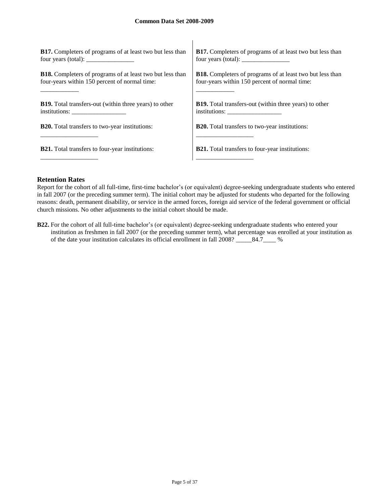| <b>B17.</b> Completers of programs of at least two but less than                                                  | <b>B17.</b> Completers of programs of at least two but less than<br>four years (total): $\frac{1}{2}$ = $\frac{1}{2}$ = $\frac{1}{2}$ = $\frac{1}{2}$ = $\frac{1}{2}$ = $\frac{1}{2}$ = $\frac{1}{2}$ = $\frac{1}{2}$ = $\frac{1}{2}$ = $\frac{1}{2}$ = $\frac{1}{2}$ = $\frac{1}{2}$ = $\frac{1}{2}$ = $\frac{1}{2}$ = $\frac{1}{2}$ = $\frac{1}{2}$ = $\frac{1}{2}$ |
|-------------------------------------------------------------------------------------------------------------------|-----------------------------------------------------------------------------------------------------------------------------------------------------------------------------------------------------------------------------------------------------------------------------------------------------------------------------------------------------------------------|
| <b>B18.</b> Completers of programs of at least two but less than<br>four-years within 150 percent of normal time: | <b>B18.</b> Completers of programs of at least two but less than<br>four-years within 150 percent of normal time:                                                                                                                                                                                                                                                     |
| <b>B19.</b> Total transfers-out (within three years) to other                                                     | <b>B19.</b> Total transfers-out (within three years) to other                                                                                                                                                                                                                                                                                                         |
| <b>B20.</b> Total transfers to two-year institutions:                                                             | <b>B20.</b> Total transfers to two-year institutions:                                                                                                                                                                                                                                                                                                                 |
|                                                                                                                   |                                                                                                                                                                                                                                                                                                                                                                       |
| <b>B21.</b> Total transfers to four-year institutions:                                                            | <b>B21.</b> Total transfers to four-year institutions:                                                                                                                                                                                                                                                                                                                |
|                                                                                                                   |                                                                                                                                                                                                                                                                                                                                                                       |

 $\begin{array}{c} \hline \end{array}$ 

# **Retention Rates**

Report for the cohort of all full-time, first-time bachelor's (or equivalent) degree-seeking undergraduate students who entered in fall 2007 (or the preceding summer term). The initial cohort may be adjusted for students who departed for the following reasons: death, permanent disability, or service in the armed forces, foreign aid service of the federal government or official church missions. No other adjustments to the initial cohort should be made.

**B22.** For the cohort of all full-time bachelor's (or equivalent) degree-seeking undergraduate students who entered your institution as freshmen in fall 2007 (or the preceding summer term), what percentage was enrolled at your institution as of the date your institution calculates its official enrollment in fall 2008? \_\_\_\_\_84.7\_\_\_\_ %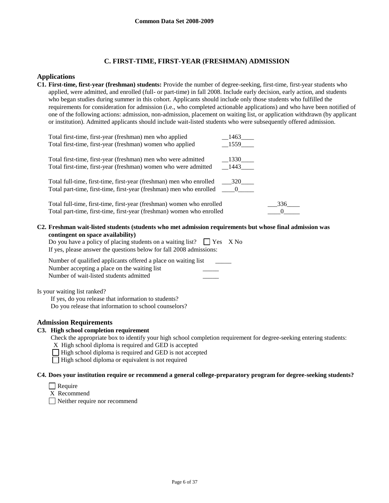# **C. FIRST-TIME, FIRST-YEAR (FRESHMAN) ADMISSION**

# **Applications**

**C1. First-time, first-year (freshman) students:** Provide the number of degree-seeking, first-time, first-year students who applied, were admitted, and enrolled (full- or part-time) in fall 2008. Include early decision, early action, and students who began studies during summer in this cohort. Applicants should include only those students who fulfilled the requirements for consideration for admission (i.e., who completed actionable applications) and who have been notified of one of the following actions: admission, non-admission, placement on waiting list, or application withdrawn (by applicant or institution). Admitted applicants should include wait-listed students who were subsequently offered admission.

| Total first-time, first-year (freshman) men who applied                        | 1463 |
|--------------------------------------------------------------------------------|------|
| Total first-time, first-year (freshman) women who applied                      | 1559 |
|                                                                                |      |
| Total first-time, first-year (freshman) men who were admitted                  | 1330 |
| Total first-time, first-year (freshman) women who were admitted                | 1443 |
|                                                                                |      |
| Total full-time, first-time, first-year (freshman) men who enrolled            | 320  |
| Total part-time, first-time, first-year (freshman) men who enrolled ____0_____ |      |
|                                                                                |      |
| Total full-time, first-time, first-year (freshman) women who enrolled          | 336  |
| Total part-time, first-time, first-year (freshman) women who enrolled          |      |
|                                                                                |      |

#### **C2. Freshman wait-listed students (students who met admission requirements but whose final admission was contingent on space availability)**

| Do you have a policy of placing students on a waiting list? $\Box$ Yes X No |  |
|-----------------------------------------------------------------------------|--|
| If yes, please answer the questions below for fall 2008 admissions:         |  |

| Number of qualified applicants offered a place on waiting list |  |
|----------------------------------------------------------------|--|
| Number accepting a place on the waiting list                   |  |
| Number of wait-listed students admitted                        |  |

Is your waiting list ranked?

If yes, do you release that information to students? Do you release that information to school counselors?

# **Admission Requirements**

#### **C3. High school completion requirement**

Check the appropriate box to identify your high school completion requirement for degree-seeking entering students:

X High school diploma is required and GED is accepted

□ High school diploma is required and GED is not accepted

 $\Box$  High school diploma or equivalent is not required

# **C4. Does your institution require or recommend a general college-preparatory program for degree-seeking students?**

Require

X Recommend

Neither require nor recommend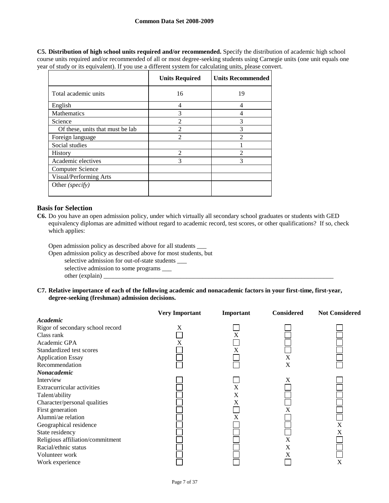**C5. Distribution of high school units required and/or recommended.** Specify the distribution of academic high school course units required and/or recommended of all or most degree-seeking students using Carnegie units (one unit equals one year of study or its equivalent). If you use a different system for calculating units, please convert.

|                                  | <b>Units Required</b> | <b>Units Recommended</b> |
|----------------------------------|-----------------------|--------------------------|
| Total academic units             | 16                    | 19                       |
| English                          | 4                     | 4                        |
| Mathematics                      | 3                     | 4                        |
| Science                          | 2                     | 3                        |
| Of these, units that must be lab | $\mathfrak{D}$        | 3                        |
| Foreign language                 | 2                     | $\mathfrak{D}$           |
| Social studies                   |                       |                          |
| <b>History</b>                   | $\mathfrak{D}$        | $\mathfrak{D}$           |
| Academic electives               | 3                     | 3                        |
| <b>Computer Science</b>          |                       |                          |
| Visual/Performing Arts           |                       |                          |
| Other (specify)                  |                       |                          |

# **Basis for Selection**

**C6.** Do you have an open admission policy, under which virtually all secondary school graduates or students with GED equivalency diplomas are admitted without regard to academic record, test scores, or other qualifications? If so, check which applies:

Open admission policy as described above for all students \_\_\_

Open admission policy as described above for most students, but

selective admission for out-of-state students \_\_\_

selective admission to some programs \_\_\_ other (explain)  $\_$ 

**C7. Relative importance of each of the following academic and nonacademic factors in your first-time, first-year, degree-seeking (freshman) admission decisions.**

|                                  | <b>Very Important</b> | Important | <b>Considered</b> | <b>Not Considered</b> |
|----------------------------------|-----------------------|-----------|-------------------|-----------------------|
| Academic                         |                       |           |                   |                       |
| Rigor of secondary school record | X                     |           |                   |                       |
| Class rank                       |                       | X         |                   |                       |
| Academic GPA                     | X                     |           |                   |                       |
| Standardized test scores         |                       | X         |                   |                       |
| <b>Application Essay</b>         |                       |           | X                 |                       |
| Recommendation                   |                       |           | X                 |                       |
| Nonacademic                      |                       |           |                   |                       |
| Interview                        |                       |           | X                 |                       |
| Extracurricular activities       |                       | X         |                   |                       |
| Talent/ability                   |                       | X         |                   |                       |
| Character/personal qualities     |                       | X         |                   |                       |
| First generation                 |                       |           | Х                 |                       |
| Alumni/ae relation               |                       | X         |                   |                       |
| Geographical residence           |                       |           |                   | X                     |
| State residency                  |                       |           |                   | X                     |
| Religious affiliation/commitment |                       |           | X                 |                       |
| Racial/ethnic status             |                       |           | X                 |                       |
| Volunteer work                   |                       |           | X                 |                       |
| Work experience                  |                       |           |                   | X                     |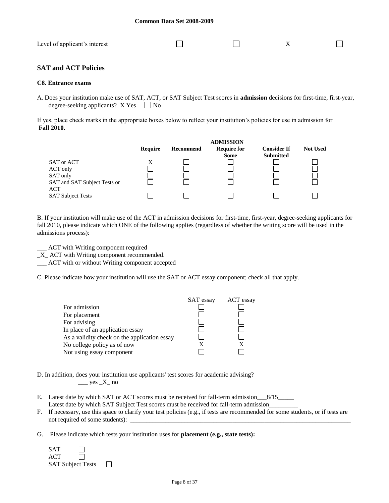| Level of applicant's interest |  |  |
|-------------------------------|--|--|
|                               |  |  |

# **SAT and ACT Policies**

#### **C8. Entrance exams**

A. Does your institution make use of SAT, ACT, or SAT Subject Test scores in **admission** decisions for first-time, first-year, degree-seeking applicants?  $X$  Yes  $\Box$  No

If yes, place check marks in the appropriate boxes below to reflect your institution's policies for use in admission for **Fall 2010.**



B. If your institution will make use of the ACT in admission decisions for first-time, first-year, degree-seeking applicants for fall 2010, please indicate which ONE of the following applies (regardless of whether the writing score will be used in the admissions process):

\_\_\_ ACT with Writing component required

\_X\_ ACT with Writing component recommended.

\_\_\_ ACT with or without Writing component accepted

C. Please indicate how your institution will use the SAT or ACT essay component; check all that apply.



D. In addition, does your institution use applicants' test scores for academic advising?  $\_\_\_\$ yes  $\_X\_$  no

- E. Latest date by which SAT or ACT scores must be received for fall-term admission\_\_\_8/15\_\_\_\_\_ Latest date by which SAT Subject Test scores must be received for fall-term admission\_
- F. If necessary, use this space to clarify your test policies (e.g., if tests are recommended for some students, or if tests are not required of some students): \_
- G. Please indicate which tests your institution uses for **placement (e.g., state tests):**

| <b>SAT</b> |                          |
|------------|--------------------------|
| ACT.       | $\mathsf{L}$             |
|            | <b>SAT Subject Tests</b> |

 $\Box$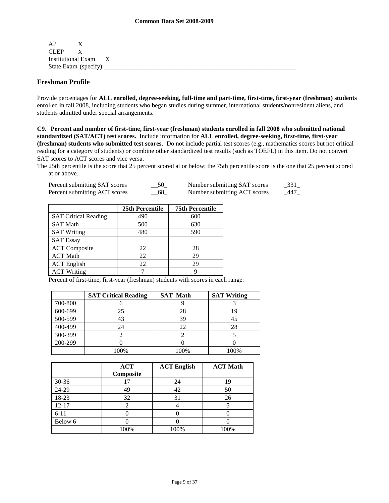AP X CLEP X Institutional Exam X State Exam (specify):

# **Freshman Profile**

Provide percentages for **ALL enrolled, degree-seeking, full-time and part-time, first-time, first-year (freshman) students**  enrolled in fall 2008, including students who began studies during summer, international students/nonresident aliens, and students admitted under special arrangements.

**C9. Percent and number of first-time, first-year (freshman) students enrolled in fall 2008 who submitted national standardized (SAT/ACT) test scores.** Include information for **ALL enrolled, degree-seeking, first-time, first-year (freshman) students who submitted test scores**. Do not include partial test scores (e.g., mathematics scores but not critical reading for a category of students) or combine other standardized test results (such as TOEFL) in this item. Do not convert SAT scores to ACT scores and vice versa.

The 25th percentile is the score that 25 percent scored at or below; the 75th percentile score is the one that 25 percent scored at or above.

| Percent submitting SAT scores | 50 | Number submitting SAT scores | 331  |
|-------------------------------|----|------------------------------|------|
| Percent submitting ACT scores | 68 | Number submitting ACT scores | -447 |

|                             | 25th Percentile | <b>75th Percentile</b> |
|-----------------------------|-----------------|------------------------|
| <b>SAT Critical Reading</b> | 490             | 600                    |
| <b>SAT Math</b>             | 500             | 630                    |
| <b>SAT Writing</b>          | 480             | 590                    |
| <b>SAT Essay</b>            |                 |                        |
| <b>ACT</b> Composite        | 22              | 28                     |
| <b>ACT Math</b>             | 22              | 29                     |
| <b>ACT</b> English          | 22              | 29                     |
| <b>ACT Writing</b>          |                 |                        |

Percent of first-time, first-year (freshman) students with scores in each range:

|         | <b>SAT Critical Reading</b> | <b>SAT Math</b> | <b>SAT Writing</b> |
|---------|-----------------------------|-----------------|--------------------|
| 700-800 |                             |                 |                    |
| 600-699 | 25                          | 28              | 1 G                |
| 500-599 |                             | 39              |                    |
| 400-499 | 24                          | 22              | 28                 |
| 300-399 |                             |                 |                    |
| 200-299 |                             |                 |                    |
|         | 100%                        | 100%            | 100%               |

|           | <b>ACT</b><br>Composite | <b>ACT English</b> | <b>ACT Math</b> |
|-----------|-------------------------|--------------------|-----------------|
| $30 - 36$ |                         | 24                 | 19              |
| 24-29     | 49                      | 42                 | 50              |
| 18-23     | 32                      | 31                 | 26              |
| $12 - 17$ |                         |                    |                 |
| $6 - 11$  |                         |                    |                 |
| Below 6   |                         |                    |                 |
|           | 100%                    | 100%               | 100%            |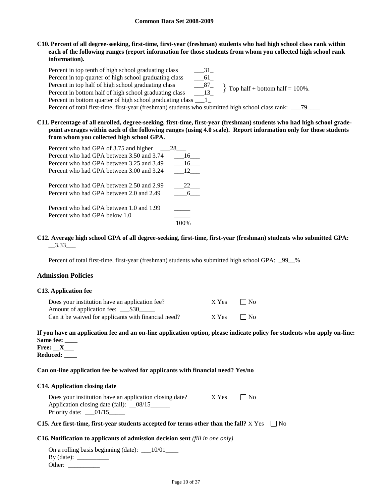**C10. Percent of all degree-seeking, first-time, first-year (freshman) students who had high school class rank within each of the following ranges (report information for those students from whom you collected high school rank information).**

Percent in top tenth of high school graduating class \_\_\_\_\_\_\_31\_ Percent in top quarter of high school graduating class \_\_\_61\_ Percent in top half of high school graduating class \_\_\_87\_ Percent in bottom half of high school graduating class Percent in bottom quarter of high school graduating class \_\_\_1\_ Percent of total first-time, first-year (freshman) students who submitted high school class rank: \_\_\_79\_\_\_\_  $\{$  Top half + bottom half = 100%.

**C11. Percentage of all enrolled, degree-seeking, first-time, first-year (freshman) students who had high school gradepoint averages within each of the following ranges (using 4.0 scale). Report information only for those students from whom you collected high school GPA.**

| Percent who had GPA of 3.75 and higher    | 28  |
|-------------------------------------------|-----|
| Percent who had GPA between 3.50 and 3.74 | 16  |
| Percent who had GPA between 3.25 and 3.49 | 16  |
| Percent who had GPA between 3.00 and 3.24 | 12  |
| Percent who had GPA between 2.50 and 2.99 | 22. |
| Percent who had GPA between 2.0 and 2.49  |     |
| Percent who had GPA between 1.0 and 1.99  |     |
| Percent who had GPA below 1.0             |     |
|                                           |     |

**C12. Average high school GPA of all degree-seeking, first-time, first-year (freshman) students who submitted GPA:**  $-3.33$ 

Percent of total first-time, first-year (freshman) students who submitted high school GPA: \_99\_\_%

## **Admission Policies**

#### **C13. Application fee**

| Does your institution have an application fee?       | X Yes | $\Box$ No |
|------------------------------------------------------|-------|-----------|
|                                                      |       |           |
| Can it be waived for applicants with financial need? | X Yes | $\Box$ No |

# **If you have an application fee and an on-line application option, please indicate policy for students who apply on-line: Same fee: \_\_\_\_**

**Free: \_\_X\_\_\_ Reduced: \_\_\_\_**

#### **Can on-line application fee be waived for applicants with financial need? Yes/no**

#### **C14. Application closing date**

| Does your institution have an application closing date?               | X Yes | $\Box$ No |  |
|-----------------------------------------------------------------------|-------|-----------|--|
| Application closing date (fall): _08/15<br>Priority date: $\_\_01/15$ |       |           |  |
|                                                                       |       |           |  |

#### **C15.** Are first-time, first-year students accepted for terms other than the fall?  $X$  Yes  $\Box$  No

#### **C16. Notification to applicants of admission decision sent** *(fill in one only)*

On a rolling basis beginning (date): \_\_10/01\_\_\_\_ By (date): \_\_\_\_\_\_\_\_\_\_ Other: \_\_\_\_\_\_\_\_\_\_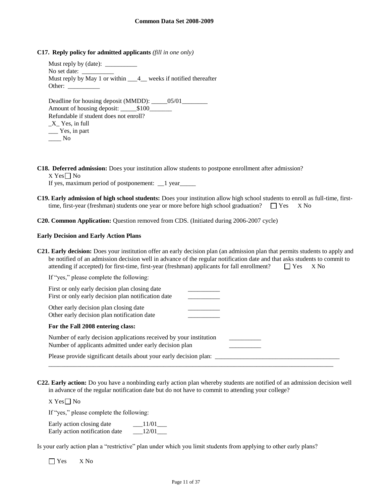**C17. Reply policy for admitted applicants** *(fill in one only)*

Must reply by (date): No set date: Must reply by May 1 or within  $\frac{4}{1}$  weeks if notified thereafter Other:

Deadline for housing deposit (MMDD): \_\_\_\_\_05/01\_\_\_\_\_\_\_\_\_ Amount of housing deposit: \_\_\_\_\_\$100\_\_\_\_\_\_\_ Refundable if student does not enroll?  $X$ <sup> $\leq$ </sup> Yes, in full \_\_\_ Yes, in part  $\_\_$  No

**C18. Deferred admission:** Does your institution allow students to postpone enrollment after admission?

 $X$  Yes  $\neg$  No

If yes, maximum period of postponement:  $\angle$  1 year $\angle$ 

**C19. Early admission of high school students:** Does your institution allow high school students to enroll as full-time, firsttime, first-year (freshman) students one year or more before high school graduation?  $\Box$  Yes X No

**C20. Common Application:** Question removed from CDS. (Initiated during 2006-2007 cycle)

#### **Early Decision and Early Action Plans**

**C21. Early decision:** Does your institution offer an early decision plan (an admission plan that permits students to apply and be notified of an admission decision well in advance of the regular notification date and that asks students to commit to attending if accepted) for first-time, first-year (freshman) applicants for fall enrollment?  $\Box$  Yes  $\Box$  X No

| If "yes," please complete the following:                                                                                      |  |
|-------------------------------------------------------------------------------------------------------------------------------|--|
| First or only early decision plan closing date<br>First or only early decision plan notification date                         |  |
| Other early decision plan closing date<br>Other early decision plan notification date                                         |  |
| For the Fall 2008 entering class:                                                                                             |  |
| Number of early decision applications received by your institution<br>Number of applicants admitted under early decision plan |  |
| Please provide significant details about your early decision plan:                                                            |  |

**C22. Early action:** Do you have a nonbinding early action plan whereby students are notified of an admission decision well in advance of the regular notification date but do not have to commit to attending your college?

X Yes $\square$  No

If "yes," please complete the following:

| Early action closing date      | 11/01 |
|--------------------------------|-------|
| Early action notification date | 12/01 |

Is your early action plan a "restrictive" plan under which you limit students from applying to other early plans?

Yes X No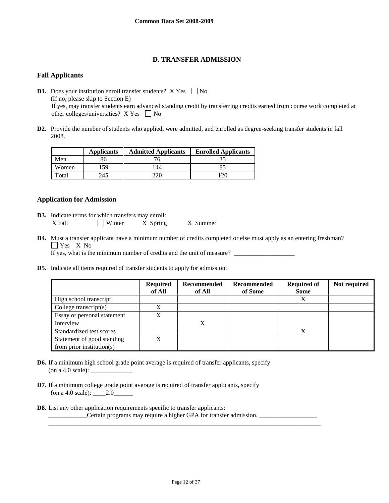# **D. TRANSFER ADMISSION**

# **Fall Applicants**

**D1.** Does your institution enroll transfer students?  $X$  Yes  $\Box$  No (If no, please skip to Section E) If yes, may transfer students earn advanced standing credit by transferring credits earned from course work completed at other colleges/universities?  $X$  Yes  $\Box$  No

**D2.** Provide the number of students who applied, were admitted, and enrolled as degree-seeking transfer students in fall 2008.

|       | <b>Applicants</b> | <b>Admitted Applicants</b> | <b>Enrolled Applicants</b> |
|-------|-------------------|----------------------------|----------------------------|
| Men   | 86                |                            |                            |
| Women | 59ء               | 144                        | 8.                         |
| Total | 245               |                            |                            |

# **Application for Admission**

- **D3.** Indicate terms for which transfers may enroll: X Fall Winter X Spring X Summer
- **D4.** Must a transfer applicant have a minimum number of credits completed or else must apply as an entering freshman? Yes X<sub>No</sub>

If yes, what is the minimum number of credits and the unit of measure?

**D5.** Indicate all items required of transfer students to apply for admission:

|                               | <b>Required</b><br>of All | Recommended<br>of All | Recommended<br>of Some | <b>Required of</b><br><b>Some</b> | Not required |
|-------------------------------|---------------------------|-----------------------|------------------------|-----------------------------------|--------------|
| High school transcript        |                           |                       |                        | X                                 |              |
| College transcript $(s)$      | X                         |                       |                        |                                   |              |
| Essay or personal statement   | X                         |                       |                        |                                   |              |
| Interview                     |                           | X                     |                        |                                   |              |
| Standardized test scores      |                           |                       |                        | Х                                 |              |
| Statement of good standing    | X                         |                       |                        |                                   |              |
| from prior institution( $s$ ) |                           |                       |                        |                                   |              |

- **D6.** If a minimum high school grade point average is required of transfer applicants, specify (on a 4.0 scale):  $\_\_$
- **D7**. If a minimum college grade point average is required of transfer applicants, specify (on a 4.0 scale): \_\_\_\_2.0\_\_\_\_\_\_
- **D8**. List any other application requirements specific to transfer applicants: \_\_\_\_\_\_\_\_\_\_\_\_Certain programs may require a higher GPA for transfer admission. \_\_\_\_\_\_\_\_\_\_\_\_\_\_\_\_\_\_

\_\_\_\_\_\_\_\_\_\_\_\_\_\_\_\_\_\_\_\_\_\_\_\_\_\_\_\_\_\_\_\_\_\_\_\_\_\_\_\_\_\_\_\_\_\_\_\_\_\_\_\_\_\_\_\_\_\_\_\_\_\_\_\_\_\_\_\_\_\_\_\_\_\_\_\_\_\_\_\_\_\_\_\_\_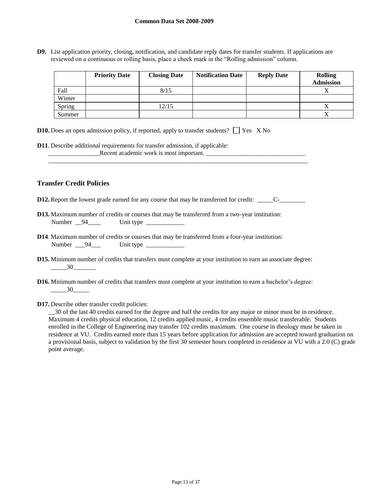**D9.** List application priority, closing, notification, and candidate reply dates for transfer students. If applications are reviewed on a continuous or rolling basis, place a check mark in the "Rolling admission" column.

|        | <b>Priority Date</b> | <b>Closing Date</b> | <b>Notification Date</b> | <b>Reply Date</b> | <b>Rolling</b><br><b>Admission</b> |
|--------|----------------------|---------------------|--------------------------|-------------------|------------------------------------|
| Fall   |                      | 8/15                |                          |                   |                                    |
| Winter |                      |                     |                          |                   |                                    |
| Spring |                      | 12/15               |                          |                   |                                    |
| Summer |                      |                     |                          |                   |                                    |

|  |  | <b>D10.</b> Does an open admission policy, if reported, apply to transfer students? $\Box$ Yes X No |  |
|--|--|-----------------------------------------------------------------------------------------------------|--|
|  |  |                                                                                                     |  |

**D11**. Describe additional requirements for transfer admission, if applicable: **Example 2** Recent academic work is most important.

# **Transfer Credit Policies**

**D12.** Report the lowest grade earned for any course that may be transferred for credit: \_\_\_\_\_C-\_\_\_\_\_\_\_\_

\_\_\_\_\_\_\_\_\_\_\_\_\_\_\_\_\_\_\_\_\_\_\_\_\_\_\_\_\_\_\_\_\_\_\_\_\_\_\_\_\_\_\_\_\_\_\_\_\_\_\_\_\_\_\_\_\_\_\_\_\_\_\_\_\_\_\_\_\_\_\_\_\_\_\_\_\_\_\_\_\_

- **D13.** Maximum number of credits or courses that may be transferred from a two-year institution: Number 94 Unit type
- **D14**. Maximum number of credits or courses that may be transferred from a four-year institution: Number \_\_\_94\_\_\_ Unit type \_\_\_\_\_\_\_\_\_\_\_\_
- **D15.** Minimum number of credits that transfers must complete at your institution to earn an associate degree:  $-30$
- **D16.** Minimum number of credits that transfers must complete at your institution to earn a bachelor's degree: \_\_\_\_\_30\_\_\_\_\_
- **D17.** Describe other transfer credit policies:

\_\_30 of the last 40 credits earned for the degree and half the credits for any major or minor must be in residence. Maximum 4 credits physical education, 12 credits applied music, 4 credits ensemble music transferable. Students enrolled in the College of Engineering may transfer 102 credits maximum. One course in theology must be taken in residence at VU. Credits earned more than 15 years before application for admission are accepted toward graduation on a provisional basis, subject to validation by the first 30 semester hours completed in residence at VU with a 2.0 (C) grade point average.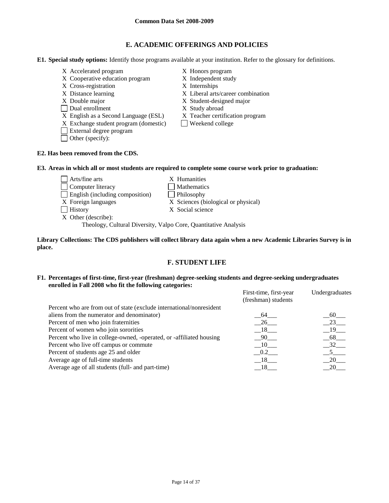# **E. ACADEMIC OFFERINGS AND POLICIES**

**E1. Special study options:** Identify those programs available at your institution. Refer to the glossary for definitions.

- X Accelerated program X Honors program
- X Cooperative education program X Independent study
- X Cross-registration X Internships
- 
- 
- Dual enrollment X Study abroad
- X English as a Second Language (ESL) X Teacher certification program
- $X$  Exchange student program (domestic) Weekend college
- External degree program
- Other (specify):
- 
- 
- 
- X Distance learning X Liberal arts/career combination
- X Double major X Student-designed major
	-
	-
	-

# **E2. Has been removed from the CDS.**

**E3. Areas in which all or most students are required to complete some course work prior to graduation:**

Arts/fine arts X Humanities Computer literacy Mathematics English (including composition) Philosophy X Foreign languages X Sciences (biological or physical) History X Social science X Other (describe):

Theology, Cultural Diversity, Valpo Core, Quantitative Analysis

**Library Collections: The CDS publishers will collect library data again when a new Academic Libraries Survey is in place.** 

# **F. STUDENT LIFE**

### **F1. Percentages of first-time, first-year (freshman) degree-seeking students and degree-seeking undergraduates enrolled in Fall 2008 who fit the following categories:**

|                                                                      | First-time, first-year | Undergraduates    |
|----------------------------------------------------------------------|------------------------|-------------------|
|                                                                      | (freshman) students    |                   |
| Percent who are from out of state (exclude international/nonresident |                        |                   |
| aliens from the numerator and denominator)                           | 64                     | - 60              |
| Percent of men who join fraternities                                 | 26                     | 23                |
| Percent of women who join sororities                                 | 18                     | $19$ <sub>—</sub> |
| Percent who live in college-owned, -operated, or -affiliated housing | - 90                   | 68                |
| Percent who live off campus or commute                               | 10                     | $32$ <sub>—</sub> |
| Percent of students age 25 and older                                 | 0.2                    |                   |
| Average age of full-time students                                    | 18                     | 20                |
| Average age of all students (full- and part-time)                    |                        | 20.               |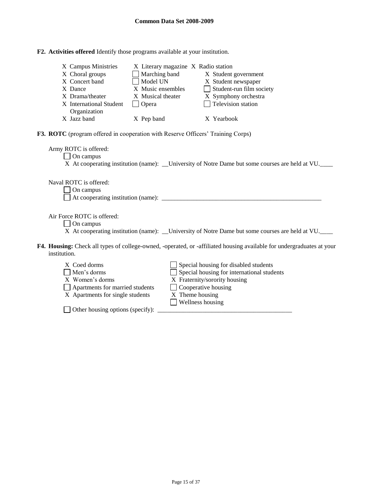|  |  |  |  |  | F2. Activities offered Identify those programs available at your institution. |
|--|--|--|--|--|-------------------------------------------------------------------------------|
|--|--|--|--|--|-------------------------------------------------------------------------------|

| X Campus Ministries<br>X Choral groups<br>X Concert band<br>X Dance<br>X Drama/theater<br>X International Student<br>Organization     | X Literary magazine X Radio station<br>Marching band<br>Model UN<br>X Music ensembles<br>X Musical theater<br>$\Box$ Opera | X Student government<br>X Student newspaper<br>$\Box$ Student-run film society<br>X Symphony orchestra<br>$\Box$ Television station                                                              |  |  |  |  |
|---------------------------------------------------------------------------------------------------------------------------------------|----------------------------------------------------------------------------------------------------------------------------|--------------------------------------------------------------------------------------------------------------------------------------------------------------------------------------------------|--|--|--|--|
| X Jazz band                                                                                                                           | X Pep band                                                                                                                 | X Yearbook                                                                                                                                                                                       |  |  |  |  |
| <b>F3. ROTC</b> (program offered in cooperation with Reserve Officers' Training Corps)<br>Army ROTC is offered:                       |                                                                                                                            |                                                                                                                                                                                                  |  |  |  |  |
| $\Box$ On campus<br>X At cooperating institution (name): ____University of Notre Dame but some courses are held at VU.                |                                                                                                                            |                                                                                                                                                                                                  |  |  |  |  |
| Naval ROTC is offered:<br>On campus                                                                                                   |                                                                                                                            |                                                                                                                                                                                                  |  |  |  |  |
| Air Force ROTC is offered:<br>$\Box$ On campus                                                                                        |                                                                                                                            | X At cooperating institution (name): ___University of Notre Dame but some courses are held at VU.                                                                                                |  |  |  |  |
| F4. Housing: Check all types of college-owned, -operated, or -affiliated housing available for undergraduates at your<br>institution. |                                                                                                                            |                                                                                                                                                                                                  |  |  |  |  |
| X Coed dorms<br>Men's dorms<br>X Women's dorms<br>Apartments for married students<br>X Apartments for single students                 |                                                                                                                            | Special housing for disabled students<br>Special housing for international students<br>X Fraternity/sorority housing<br>$\Box$ Cooperative housing<br>X Theme housing<br>$\Box$ Wellness housing |  |  |  |  |

 $\Box$  Other housing options (specify):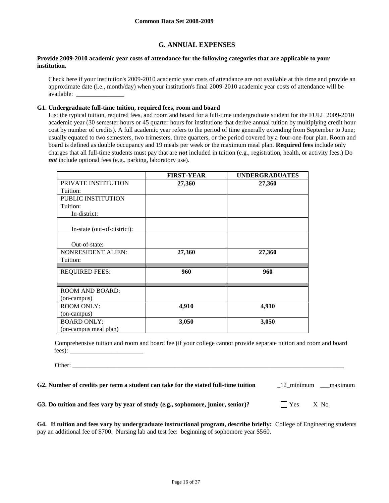# **G. ANNUAL EXPENSES**

## **Provide 2009-2010 academic year costs of attendance for the following categories that are applicable to your institution.**

Check here if your institution's 2009-2010 academic year costs of attendance are not available at this time and provide an approximate date (i.e., month/day) when your institution's final 2009-2010 academic year costs of attendance will be available: \_\_\_\_\_\_\_\_\_\_\_\_\_\_\_

#### **G1. Undergraduate full-time tuition, required fees, room and board**

List the typical tuition, required fees, and room and board for a full-time undergraduate student for the FULL 2009-2010 academic year (30 semester hours or 45 quarter hours for institutions that derive annual tuition by multiplying credit hour cost by number of credits). A full academic year refers to the period of time generally extending from September to June; usually equated to two semesters, two trimesters, three quarters, or the period covered by a four-one-four plan. Room and board is defined as double occupancy and 19 meals per week or the maximum meal plan. **Required fees** include only charges that all full-time students must pay that are *not* included in tuition (e.g., registration, health, or activity fees.) Do *not* include optional fees (e.g., parking, laboratory use).

|                             | <b>FIRST-YEAR</b> | <b>UNDERGRADUATES</b> |
|-----------------------------|-------------------|-----------------------|
| PRIVATE INSTITUTION         | 27,360            | 27,360                |
| Tuition:                    |                   |                       |
| PUBLIC INSTITUTION          |                   |                       |
| Tuition:                    |                   |                       |
| In-district:                |                   |                       |
| In-state (out-of-district): |                   |                       |
|                             |                   |                       |
| Out-of-state:               |                   |                       |
| <b>NONRESIDENT ALIEN:</b>   | 27,360            | 27,360                |
| Tuition:                    |                   |                       |
| <b>REQUIRED FEES:</b>       | 960               | 960                   |
| <b>ROOM AND BOARD:</b>      |                   |                       |
| (on-campus)                 |                   |                       |
| <b>ROOM ONLY:</b>           | 4,910             | 4,910                 |
| (on-campus)                 |                   |                       |
| <b>BOARD ONLY:</b>          | 3,050             | 3,050                 |
| (on-campus meal plan)       |                   |                       |

Comprehensive tuition and room and board fee (if your college cannot provide separate tuition and room and board fees): \_\_\_\_\_\_\_\_\_\_\_\_\_\_\_\_\_\_\_\_\_\_\_

Other: \_\_\_\_\_\_\_\_\_\_\_\_\_\_\_\_\_\_\_\_\_\_\_\_\_\_\_\_\_\_\_\_\_\_\_\_\_\_\_\_\_\_\_\_\_\_\_\_\_\_\_\_\_\_\_\_\_\_\_\_\_\_\_\_\_\_\_\_\_\_\_\_\_\_\_\_\_\_\_\_\_\_\_\_\_

**G2. Number of credits per term a student can take for the stated full-time tuition** \_12\_minimum \_\_\_maximum

**G3.** Do tuition and fees vary by year of study (e.g., sophomore, junior, senior)?  $\Box$  Yes X No

**G4. If tuition and fees vary by undergraduate instructional program, describe briefly:** College of Engineering students pay an additional fee of \$700. Nursing lab and test fee: beginning of sophomore year \$560.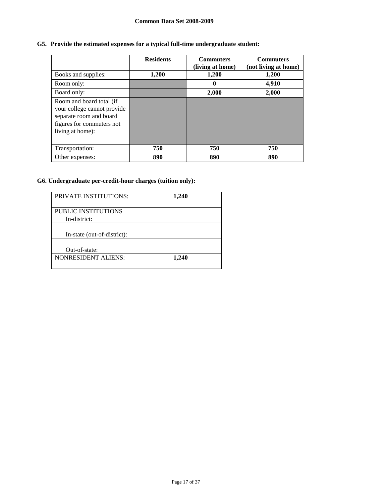# **Common Data Set 2008-2009**

# **G5. Provide the estimated expenses for a typical full-time undergraduate student:**

|                                                                                                                                     | <b>Residents</b> | <b>Commuters</b><br>(living at home) | <b>Commuters</b><br>(not living at home) |
|-------------------------------------------------------------------------------------------------------------------------------------|------------------|--------------------------------------|------------------------------------------|
| Books and supplies:                                                                                                                 | 1,200            | 1,200                                | 1,200                                    |
| Room only:                                                                                                                          |                  | 0                                    | 4,910                                    |
| Board only:                                                                                                                         |                  | 2,000                                | 2,000                                    |
| Room and board total (if<br>your college cannot provide<br>separate room and board<br>figures for commuters not<br>living at home): |                  |                                      |                                          |
| Transportation:                                                                                                                     | 750              | 750                                  | 750                                      |
| Other expenses:                                                                                                                     | 890              | 890                                  | 890                                      |

# **G6. Undergraduate per-credit-hour charges (tuition only):**

| <b>PRIVATE INSTITUTIONS:</b>        | 1,240 |
|-------------------------------------|-------|
| PUBLIC INSTITUTIONS<br>In-district: |       |
| In-state (out-of-district):         |       |
| Out-of-state:                       |       |
| <b>NONRESIDENT ALIENS:</b>          | 1,240 |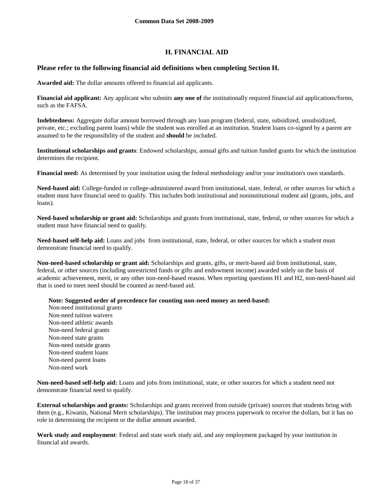# **H. FINANCIAL AID**

# **Please refer to the following financial aid definitions when completing Section H.**

**Awarded aid:** The dollar amounts offered to financial aid applicants.

**Financial aid applicant:** Any applicant who submits **any one of** the institutionally required financial aid applications/forms, such as the FAFSA.

**Indebtedness:** Aggregate dollar amount borrowed through any loan program (federal, state, subsidized, unsubsidized, private, etc.; excluding parent loans) while the student was enrolled at an institution. Student loans co-signed by a parent are assumed to be the responsibility of the student and **should** be included.

**Institutional scholarships and grants**: Endowed scholarships, annual gifts and tuition funded grants for which the institution determines the recipient.

**Financial need:** As determined by your institution using the federal methodology and/or your institution's own standards.

**Need-based aid:** College-funded or college-administered award from institutional, state, federal, or other sources for which a student must have financial need to qualify. This includes both institutional and noninstitutional student aid (grants, jobs, and loans).

**Need-based scholarship or grant aid:** Scholarships and grants from institutional, state, federal, or other sources for which a student must have financial need to qualify.

**Need-based self-help aid:** Loans and jobs from institutional, state, federal, or other sources for which a student must demonstrate financial need to qualify.

**Non-need-based scholarship or grant aid:** Scholarships and grants, gifts, or merit-based aid from institutional, state, federal, or other sources (including unrestricted funds or gifts and endowment income) awarded solely on the basis of academic achievement, merit, or any other non-need-based reason. When reporting questions H1 and H2, non-need-based aid that is used to meet need should be counted as need-based aid.

**Note: Suggested order of precedence for counting non-need money as need-based:**

Non-need institutional grants Non-need tuition waivers Non-need athletic awards Non-need federal grants Non-need state grants Non-need outside grants Non-need student loans Non-need parent loans Non-need work

**Non-need-based self-help aid:** Loans and jobs from institutional, state, or other sources for which a student need not demonstrate financial need to qualify.

**External scholarships and grants:** Scholarships and grants received from outside (private) sources that students bring with them (e.g., Kiwanis, National Merit scholarships). The institution may process paperwork to receive the dollars, but it has no role in determining the recipient or the dollar amount awarded.

**Work study and employment**: Federal and state work study aid, and any employment packaged by your institution in financial aid awards.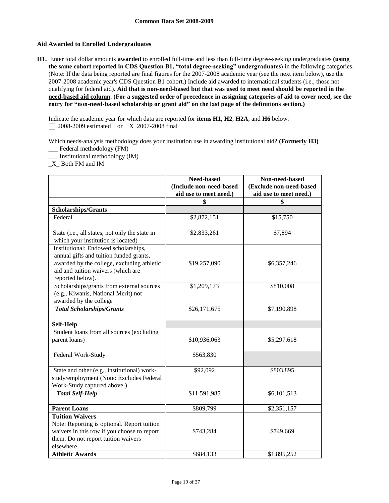# **Aid Awarded to Enrolled Undergraduates**

**H1.** Enter total dollar amounts **awarded** to enrolled full-time and less than full-time degree-seeking undergraduates **(using the same cohort reported in CDS Question B1, "total degree-seeking" undergraduates)** in the following categories. (Note: If the data being reported are final figures for the 2007-2008 academic year (see the next item below), use the 2007-2008 academic year's CDS Question B1 cohort.) Include aid awarded to international students (i.e., those not qualifying for federal aid). **Aid that is non-need-based but that was used to meet need should be reported in the need-based aid column. (For a suggested order of precedence in assigning categories of aid to cover need, see the entry for "non-need-based scholarship or grant aid" on the last page of the definitions section.)**

Indicate the academic year for which data are reported for **items H1**, **H2**, **H2A**, and **H6** below: 2008-2009 estimated or X 2007-2008 final

Which needs-analysis methodology does your institution use in awarding institutional aid? **(Formerly H3)** \_\_\_ Federal methodology (FM)

\_\_\_ Institutional methodology (IM)

\_X\_ Both FM and IM

|                                                                                                                                                                                         | Need-based<br>(Include non-need-based<br>aid use to meet need.) | Non-need-based<br>(Exclude non-need-based<br>aid use to meet need.) |
|-----------------------------------------------------------------------------------------------------------------------------------------------------------------------------------------|-----------------------------------------------------------------|---------------------------------------------------------------------|
|                                                                                                                                                                                         | \$                                                              | \$                                                                  |
| Scholarships/Grants                                                                                                                                                                     |                                                                 |                                                                     |
| Federal                                                                                                                                                                                 | \$2,872,151                                                     | \$15,750                                                            |
| State (i.e., all states, not only the state in<br>which your institution is located)                                                                                                    | \$2,833,261                                                     | \$7,894                                                             |
| Institutional: Endowed scholarships,<br>annual gifts and tuition funded grants,<br>awarded by the college, excluding athletic<br>aid and tuition waivers (which are<br>reported below). | \$19,257,090                                                    | \$6,357,246                                                         |
| Scholarships/grants from external sources<br>(e.g., Kiwanis, National Merit) not<br>awarded by the college                                                                              | \$1,209,173                                                     | \$810,008                                                           |
| <b>Total Scholarships/Grants</b>                                                                                                                                                        | \$26,171,675                                                    | \$7,190,898                                                         |
| <b>Self-Help</b>                                                                                                                                                                        |                                                                 |                                                                     |
| Student loans from all sources (excluding<br>parent loans)                                                                                                                              | \$10,936,063                                                    | \$5,297,618                                                         |
| Federal Work-Study                                                                                                                                                                      | \$563,830                                                       |                                                                     |
| State and other (e.g., institutional) work-<br>study/employment (Note: Excludes Federal<br>Work-Study captured above.)                                                                  | \$92,092                                                        | \$803,895                                                           |
| <b>Total Self-Help</b>                                                                                                                                                                  | \$11,591,985                                                    | \$6,101,513                                                         |
| <b>Parent Loans</b>                                                                                                                                                                     | \$809,799                                                       | \$2,351,157                                                         |
| <b>Tuition Waivers</b><br>Note: Reporting is optional. Report tuition<br>waivers in this row if you choose to report<br>them. Do not report tuition waivers<br>elsewhere.               | \$743,284                                                       | \$749,669                                                           |
| <b>Athletic Awards</b>                                                                                                                                                                  | \$684,133                                                       | \$1,895,252                                                         |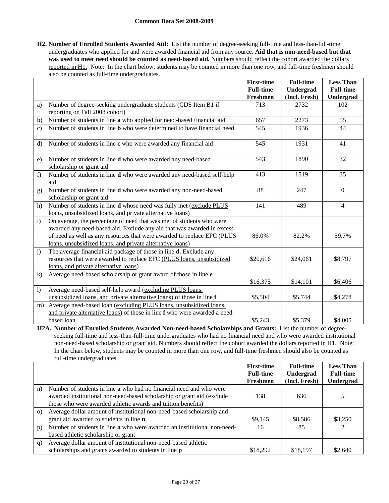### **Common Data Set 2008-2009**

**H2. Number of Enrolled Students Awarded Aid:** List the number of degree-seeking full-time and less-than-full-time undergraduates who applied for and were awarded financial aid from any source. **Aid that is non-need-based but that**  was used to meet need should be counted as need-based aid. Numbers should reflect the cohort awarded the dollars reported in H1. Note: In the chart below, students may be counted in more than one row, and full-time freshmen should also be counted as full-time undergraduates.

|                  |                                                                                                                                                                                                                                                                                        | <b>First-time</b><br><b>Full-time</b> | <b>Full-time</b><br>Undergrad | <b>Less Than</b><br><b>Full-time</b> |
|------------------|----------------------------------------------------------------------------------------------------------------------------------------------------------------------------------------------------------------------------------------------------------------------------------------|---------------------------------------|-------------------------------|--------------------------------------|
|                  |                                                                                                                                                                                                                                                                                        | Freshmen                              | (Incl. Fresh)                 | Undergrad                            |
| a)               | Number of degree-seeking undergraduate students (CDS Item B1 if<br>reporting on Fall 2008 cohort)                                                                                                                                                                                      | 713                                   | 2732                          | 102                                  |
| b)               | Number of students in line a who applied for need-based financial aid                                                                                                                                                                                                                  | 657                                   | 2273                          | 55                                   |
| $\mathbf{c})$    | Number of students in line <b>b</b> who were determined to have financial need                                                                                                                                                                                                         | 545                                   | 1936                          | 44                                   |
| $\rm d$          | Number of students in line c who were awarded any financial aid                                                                                                                                                                                                                        | 545                                   | 1931                          | 41                                   |
| e)               | Number of students in line d who were awarded any need-based<br>scholarship or grant aid                                                                                                                                                                                               | 543                                   | 1890                          | 32                                   |
| f                | Number of students in line d who were awarded any need-based self-help<br>aid                                                                                                                                                                                                          | 413                                   | 1519                          | 35                                   |
| g)               | Number of students in line d who were awarded any non-need-based<br>scholarship or grant aid                                                                                                                                                                                           | 88                                    | 247                           | $\mathbf{0}$                         |
| h)               | Number of students in line d whose need was fully met (exclude PLUS<br>loans, unsubsidized loans, and private alternative loans)                                                                                                                                                       | 141                                   | 489                           | 4                                    |
| $\mathbf{i}$     | On average, the percentage of need that was met of students who were<br>awarded any need-based aid. Exclude any aid that was awarded in excess<br>of need as well as any resources that were awarded to replace EFC (PLUS<br>loans, unsubsidized loans, and private alternative loans) | 86.0%                                 | 82.2%                         | 59.7%                                |
| j)               | The average financial aid package of those in line <b>d.</b> Exclude any<br>resources that were awarded to replace EFC (PLUS loans, unsubsidized<br>loans, and private alternative loans)                                                                                              | \$20,616                              | \$24,061                      | \$8,797                              |
| $\bf k$          | Average need-based scholarship or grant award of those in line e                                                                                                                                                                                                                       | \$16,375                              | \$14,101                      | \$6,406                              |
| $\left  \right $ | Average need-based self-help award (excluding PLUS loans,<br>unsubsidized loans, and private alternative loans) of those in line f                                                                                                                                                     | \$5,504                               | \$5,744                       | \$4,278                              |
| m)               | Average need-based loan (excluding PLUS loans, unsubsidized loans,<br>and private alternative loans) of those in line f who were awarded a need-                                                                                                                                       |                                       |                               |                                      |
|                  | based loan                                                                                                                                                                                                                                                                             | \$5,243                               | \$5,379                       | \$4,005                              |

**H2A. Number of Enrolled Students Awarded Non-need-based Scholarships and Grants:** List the number of degreeseeking full-time and less-than-full-time undergraduates who had no financial need and who were awarded institutional non-need-based scholarship or grant aid. Numbers should reflect the cohort awarded the dollars reported in H1. Note: In the chart below, students may be counted in more than one row, and full-time freshmen should also be counted as full-time undergraduates.

|          |                                                                            | <b>First-time</b><br><b>Full-time</b> | <b>Full-time</b><br>Undergrad | <b>Less Than</b><br><b>Full-time</b> |
|----------|----------------------------------------------------------------------------|---------------------------------------|-------------------------------|--------------------------------------|
|          |                                                                            | Freshmen                              | (Incl. Fresh)                 | Undergrad                            |
| n)       | Number of students in line <b>a</b> who had no financial need and who were |                                       |                               |                                      |
|          | awarded institutional non-need-based scholarship or grant aid (exclude     | 138                                   | 636                           | 5                                    |
|          | those who were awarded athletic awards and tuition benefits)               |                                       |                               |                                      |
| $\Omega$ | Average dollar amount of institutional non-need-based scholarship and      |                                       |                               |                                      |
|          | grant aid awarded to students in line <b>n</b>                             | \$9,145                               | \$8,586                       | \$3,250                              |
| p)       | Number of students in line a who were awarded an institutional non-need-   | 16                                    | 85                            | $\mathcal{L}$                        |
|          | based athletic scholarship or grant                                        |                                       |                               |                                      |
| q)       | Average dollar amount of institutional non-need-based athletic             |                                       |                               |                                      |
|          | scholarships and grants awarded to students in line <b>p</b>               | \$18,292                              | \$18,197                      | \$2,640                              |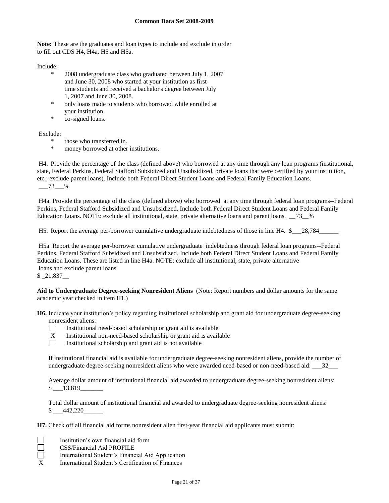**Note:** These are the graduates and loan types to include and exclude in order to fill out CDS H4, H4a, H5 and H5a.

Include:

- \* 2008 undergraduate class who graduated between July 1, 2007 and June 30, 2008 who started at your institution as firsttime students and received a bachelor's degree between July 1, 2007 and June 30, 2008.
- only loans made to students who borrowed while enrolled at your institution.
- \* co-signed loans.

Exclude:

- \* those who transferred in.
- \* money borrowed at other institutions.

H4. Provide the percentage of the class (defined above) who borrowed at any time through any loan programs (institutional, state, Federal Perkins, Federal Stafford Subsidized and Unsubsidized, private loans that were certified by your institution, etc.; exclude parent loans). Include both Federal Direct Student Loans and Federal Family Education Loans. \_\_\_73\_\_\_%

H4a. Provide the percentage of the class (defined above) who borrowed at any time through federal loan programs--Federal Perkins, Federal Stafford Subsidized and Unsubsidized. Include both Federal Direct Student Loans and Federal Family Education Loans. NOTE: exclude all institutional, state, private alternative loans and parent loans.  $\frac{73}{8}$  %

H5. Report the average per-borrower cumulative undergraduate indebtedness of those in line H4. \$\_\_\_28,784\_\_\_\_\_\_

H5a. Report the average per-borrower cumulative undergraduate indebtedness through federal loan programs--Federal Perkins, Federal Stafford Subsidized and Unsubsidized. Include both Federal Direct Student Loans and Federal Family Education Loans. These are listed in line H4a. NOTE: exclude all institutional, state, private alternative loans and exclude parent loans.

\$ \_21,837\_\_

**Aid to Undergraduate Degree-seeking Nonresident Aliens** (Note: Report numbers and dollar amounts for the same academic year checked in item H1.)

**H6.** Indicate your institution's policy regarding institutional scholarship and grant aid for undergraduate degree-seeking nonresident aliens:



Ē

Institutional need-based scholarship or grant aid is available

- X Institutional non-need-based scholarship or grant aid is available
- $\Box$ Institutional scholarship and grant aid is not available

If institutional financial aid is available for undergraduate degree-seeking nonresident aliens, provide the number of undergraduate degree-seeking nonresident aliens who were awarded need-based or non-need-based aid:  $\frac{32}{2}$ 

Average dollar amount of institutional financial aid awarded to undergraduate degree-seeking nonresident aliens:  $$ 13,819$ 

Total dollar amount of institutional financial aid awarded to undergraduate degree-seeking nonresident aliens:  $\frac{\$}{20}$  442,220

**H7.** Check off all financial aid forms nonresident alien first-year financial aid applicants must submit:

Institution's own financial aid form

- CSS/Financial Aid PROFILE
- International Student's Financial Aid Application
- X International Student's Certification of Finances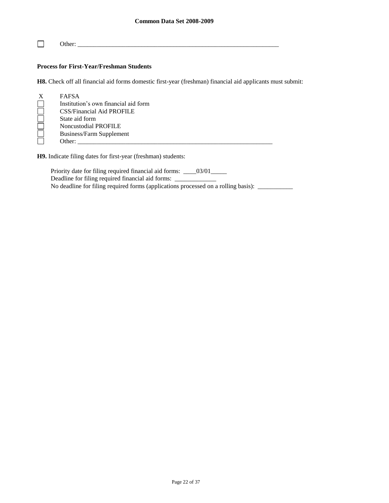$\Box$ Other: \_\_\_\_\_\_\_\_\_\_\_\_\_\_\_\_\_\_\_\_\_\_\_\_\_\_\_\_\_\_\_\_\_\_\_\_\_\_\_\_\_\_\_\_\_\_\_\_\_\_\_\_\_\_\_\_\_\_\_\_\_\_\_

# **Process for First-Year/Freshman Students**

**H8.** Check off all financial aid forms domestic first-year (freshman) financial aid applicants must submit:

| X | <b>FAFSA</b>                         |
|---|--------------------------------------|
|   | Institution's own financial aid form |
|   | <b>CSS/Financial Aid PROFILE</b>     |
|   | State aid form                       |
|   | Noncustodial PROFILE                 |
|   | Business/Farm Supplement             |
|   | Other:                               |

**H9.** Indicate filing dates for first-year (freshman) students:

Priority date for filing required financial aid forms: \_\_\_\_03/01\_\_\_\_\_ Deadline for filing required financial aid forms: \_\_\_\_\_\_\_\_\_\_\_\_\_ No deadline for filing required forms (applications processed on a rolling basis): \_\_\_\_\_\_\_\_\_\_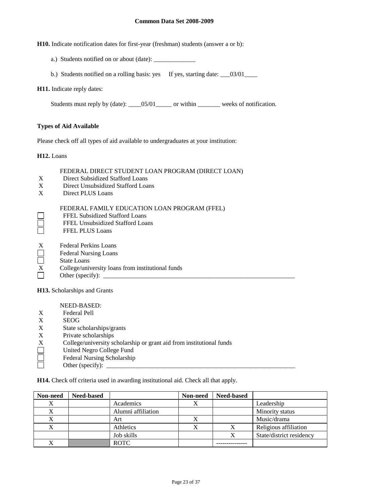#### **Common Data Set 2008-2009**

**H10.** Indicate notification dates for first-year (freshman) students (answer a or b):

- a.) Students notified on or about (date): \_\_\_\_\_\_\_\_\_\_\_\_\_
- b.) Students notified on a rolling basis: yes If yes, starting date:  $\frac{03}{01}$

#### **H11.** Indicate reply dates:

Students must reply by (date): \_\_\_\_05/01\_\_\_\_\_ or within \_\_\_\_\_\_\_ weeks of notification.

### **Types of Aid Available**

Please check off all types of aid available to undergraduates at your institution:

**H12.** Loans

#### FEDERAL DIRECT STUDENT LOAN PROGRAM (DIRECT LOAN)

- X Direct Subsidized Stafford Loans
- X Direct Unsubsidized Stafford Loans
- X Direct PLUS Loans

### FEDERAL FAMILY EDUCATION LOAN PROGRAM (FFEL)

- FFEL Subsidized Stafford Loans
- FFEL Unsubsidized Stafford Loans
- П FFEL PLUS Loans
- X Federal Perkins Loans
- Federal Nursing Loans
- $\Box$ State Loans
- $\overline{X}$  College/university loans from institutional funds<br>Other (specify):
- Other (specify):  $\Box$

**H13.** Scholarships and Grants

NEED-BASED:

- X Federal Pell
- X SEOG
- X State scholarships/grants<br>X Private scholarships
- X Private scholarships<br>X College/university schools<br>United Negro College
- College/university scholarship or grant aid from institutional funds
- United Negro College Fund
- П Federal Nursing Scholarship
- Other (specify):

**H14.** Check off criteria used in awarding institutional aid. Check all that apply.

| Non-need | <b>Need-based</b> |                    | Non-need | <b>Need-based</b> |                          |
|----------|-------------------|--------------------|----------|-------------------|--------------------------|
|          |                   | Academics          |          |                   | Leadership               |
|          |                   | Alumni affiliation |          |                   | Minority status          |
| л        |                   | Art                |          |                   | Music/drama              |
|          |                   | Athletics          |          | Х                 | Religious affiliation    |
|          |                   | Job skills         |          |                   | State/district residency |
|          |                   | <b>ROTC</b>        |          |                   |                          |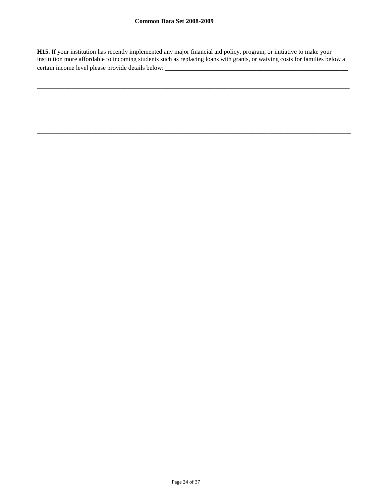**H15**. If your institution has recently implemented any major financial aid policy, program, or initiative to make your institution more affordable to incoming students such as replacing loans with grants, or waiving costs for families below a certain income level please provide details below: \_\_\_\_\_\_\_\_\_\_\_\_\_\_\_\_\_\_\_\_\_\_\_\_\_\_\_\_\_

\_\_\_\_\_\_\_\_\_\_\_\_\_\_\_\_\_\_\_\_\_\_\_\_\_\_\_\_\_\_\_\_\_\_\_\_\_\_\_\_\_\_\_\_\_\_\_\_\_\_\_\_\_\_\_\_\_\_\_\_\_\_\_\_\_\_\_\_\_\_\_\_\_\_\_\_\_\_\_\_\_\_

\_\_\_\_\_\_\_\_\_\_\_\_\_\_\_\_\_\_\_\_\_\_\_\_\_\_\_\_\_\_\_\_\_\_\_\_\_\_\_\_\_\_\_\_\_\_\_\_\_\_\_\_\_\_\_\_\_\_\_\_\_\_\_\_\_\_\_\_\_\_\_\_\_\_\_\_\_\_\_\_\_\_\_\_\_\_\_\_\_\_\_\_\_\_\_\_\_\_

\_\_\_\_\_\_\_\_\_\_\_\_\_\_\_\_\_\_\_\_\_\_\_\_\_\_\_\_\_\_\_\_\_\_\_\_\_\_\_\_\_\_\_\_\_\_\_\_\_\_\_\_\_\_\_\_\_\_\_\_\_\_\_\_\_\_\_\_\_\_\_\_\_\_\_\_\_\_\_\_\_\_\_\_\_\_\_\_\_\_\_\_\_\_\_\_\_\_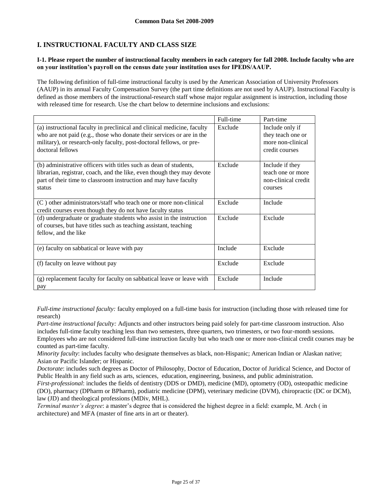# **I. INSTRUCTIONAL FACULTY AND CLASS SIZE**

### **I-1. Please report the number of instructional faculty members in each category for fall 2008. Include faculty who are on your institution's payroll on the census date your institution uses for IPEDS/AAUP.**

The following definition of full-time instructional faculty is used by the American Association of University Professors (AAUP) in its annual Faculty Compensation Survey (the part time definitions are not used by AAUP). Instructional Faculty is defined as those members of the instructional-research staff whose major regular assignment is instruction, including those with released time for research. Use the chart below to determine inclusions and exclusions:

|                                                                                                                                                                                                                                             | Full-time | Part-time                                                                   |
|---------------------------------------------------------------------------------------------------------------------------------------------------------------------------------------------------------------------------------------------|-----------|-----------------------------------------------------------------------------|
| (a) instructional faculty in preclinical and clinical medicine, faculty<br>who are not paid (e.g., those who donate their services or are in the<br>military), or research-only faculty, post-doctoral fellows, or pre-<br>doctoral fellows | Exclude   | Include only if<br>they teach one or<br>more non-clinical<br>credit courses |
| (b) administrative officers with titles such as dean of students,<br>librarian, registrar, coach, and the like, even though they may devote<br>part of their time to classroom instruction and may have faculty<br>status                   | Exclude   | Include if they<br>teach one or more<br>non-clinical credit<br>courses      |
| (C) other administrators/staff who teach one or more non-clinical<br>credit courses even though they do not have faculty status                                                                                                             | Exclude   | Include                                                                     |
| (d) undergraduate or graduate students who assist in the instruction<br>of courses, but have titles such as teaching assistant, teaching<br>fellow, and the like                                                                            | Exclude   | Exclude                                                                     |
| (e) faculty on sabbatical or leave with pay                                                                                                                                                                                                 | Include   | Exclude                                                                     |
| (f) faculty on leave without pay                                                                                                                                                                                                            | Exclude   | Exclude                                                                     |
| (g) replacement faculty for faculty on sabbatical leave or leave with<br>pay                                                                                                                                                                | Exclude   | Include                                                                     |

*Full-time instructional faculty:* faculty employed on a full-time basis for instruction (including those with released time for research)

*Part-time instructional faculty:* Adjuncts and other instructors being paid solely for part-time classroom instruction. Also includes full-time faculty teaching less than two semesters, three quarters, two trimesters, or two four-month sessions. Employees who are not considered full-time instruction faculty but who teach one or more non-clinical credit courses may be counted as part-time faculty.

*Minority faculty*: includes faculty who designate themselves as black, non-Hispanic; American Indian or Alaskan native; Asian or Pacific Islander; or Hispanic.

*Doctorate*: includes such degrees as Doctor of Philosophy, Doctor of Education, Doctor of Juridical Science, and Doctor of Public Health in any field such as arts, sciences, education, engineering, business, and public administration.

*First-professional*: includes the fields of dentistry (DDS or DMD), medicine (MD), optometry (OD), osteopathic medicine (DO), pharmacy (DPharm or BPharm), podiatric medicine (DPM), veterinary medicine (DVM), chiropractic (DC or DCM), law (JD) and theological professions (MDiv, MHL).

*Terminal master's degree*: a master's degree that is considered the highest degree in a field: example, M. Arch ( in architecture) and MFA (master of fine arts in art or theater).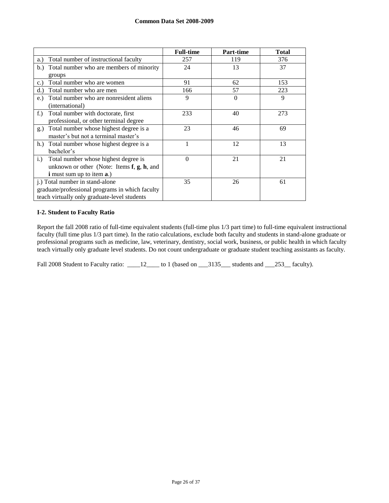|                                                     | <b>Full-time</b> | Part-time | <b>Total</b> |
|-----------------------------------------------------|------------------|-----------|--------------|
| Total number of instructional faculty<br>a.)        | 257              | 119       | 376          |
| Total number who are members of minority<br>b.)     | 24               | 13        | 37           |
| groups                                              |                  |           |              |
| Total number who are women<br>c.)                   | 91               | 62        | 153          |
| Total number who are men<br>d.                      | 166              | 57        | 223          |
| Total number who are nonresident aliens<br>$e$ .    | 9                | $\Omega$  | 9            |
| (international)                                     |                  |           |              |
| Total number with doctorate, first<br>$f$ .         | 233              | 40        | 273          |
| professional, or other terminal degree              |                  |           |              |
| Total number whose highest degree is a<br>g.)       | 23               | 46        | 69           |
| master's but not a terminal master's                |                  |           |              |
| Total number whose highest degree is a<br>h.        |                  | 12        | 13           |
| bachelor's                                          |                  |           |              |
| Total number whose highest degree is<br>i.)         | $\theta$         | 21        | 21           |
| unknown or other (Note: Items $f$ , $g$ , $h$ , and |                  |           |              |
| <b>i</b> must sum up to item <b>a</b> .)            |                  |           |              |
| <i>i.</i> ) Total number in stand-alone             | 35               | 26        | 61           |
| graduate/professional programs in which faculty     |                  |           |              |
| teach virtually only graduate-level students        |                  |           |              |

## **I-2. Student to Faculty Ratio**

Report the fall 2008 ratio of full-time equivalent students (full-time plus 1/3 part time) to full-time equivalent instructional faculty (full time plus 1/3 part time). In the ratio calculations, exclude both faculty and students in stand-alone graduate or professional programs such as medicine, law, veterinary, dentistry, social work, business, or public health in which faculty teach virtually only graduate level students. Do not count undergraduate or graduate student teaching assistants as faculty.

Fall 2008 Student to Faculty ratio: \_\_\_\_12\_\_\_\_ to 1 (based on \_\_\_3135\_\_\_ students and \_\_\_253\_\_ faculty).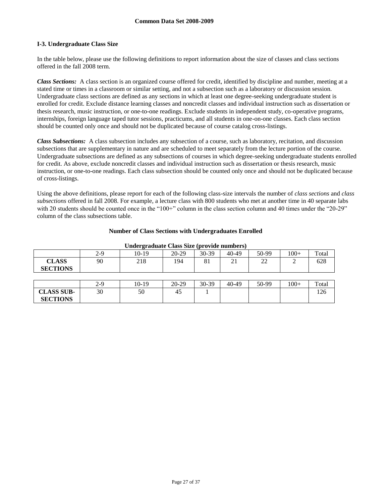# **I-3. Undergraduate Class Size**

**CLASS SUB-SECTIONS**

In the table below, please use the following definitions to report information about the size of classes and class sections offered in the fall 2008 term.

*Class Sections:* A class section is an organized course offered for credit, identified by discipline and number, meeting at a stated time or times in a classroom or similar setting, and not a subsection such as a laboratory or discussion session. Undergraduate class sections are defined as any sections in which at least one degree-seeking undergraduate student is enrolled for credit. Exclude distance learning classes and noncredit classes and individual instruction such as dissertation or thesis research, music instruction, or one-to-one readings. Exclude students in independent study, co-operative programs, internships, foreign language taped tutor sessions, practicums, and all students in one-on-one classes. Each class section should be counted only once and should not be duplicated because of course catalog cross-listings.

*Class Subsections:* A class subsection includes any subsection of a course, such as laboratory, recitation, and discussion subsections that are supplementary in nature and are scheduled to meet separately from the lecture portion of the course. Undergraduate subsections are defined as any subsections of courses in which degree-seeking undergraduate students enrolled for credit. As above, exclude noncredit classes and individual instruction such as dissertation or thesis research, music instruction, or one-to-one readings. Each class subsection should be counted only once and should not be duplicated because of cross-listings.

Using the above definitions, please report for each of the following class-size intervals the number of *class sections* and *class subsections* offered in fall 2008. For example, a lecture class with 800 students who met at another time in 40 separate labs with 20 students should be counted once in the "100+" column in the class section column and 40 times under the "20-29" column of the class subsections table.

# **Number of Class Sections with Undergraduates Enrolled**

| Chuci Cruduuce Chubb Dine (provide humberb) |       |       |         |       |       |       |        |       |
|---------------------------------------------|-------|-------|---------|-------|-------|-------|--------|-------|
|                                             | $2-9$ | 10-19 | 20-29   | 30-39 | 40-49 | 50-99 | $100+$ | Total |
| <b>CLASS</b><br><b>SECTIONS</b>             | 90    | 218   | 194     | 81    | 21    | 22    |        | 628   |
|                                             |       |       |         |       |       |       |        |       |
|                                             | $2-9$ | 10-19 | $20-29$ | 30-39 | 40-49 | 50-99 | $100+$ | Total |

30 | 50 | 45 | 1 | | | | | | | | 126

#### **Undergraduate Class Size (provide numbers)**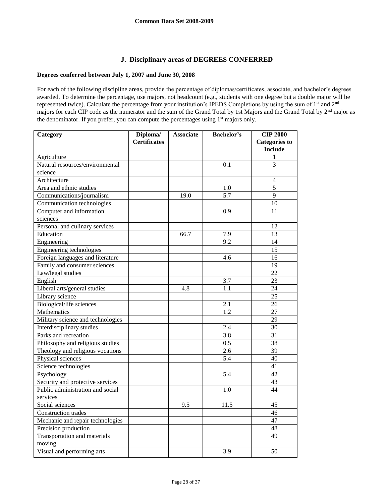# **J. Disciplinary areas of DEGREES CONFERRED**

# **Degrees conferred between July 1, 2007 and June 30, 2008**

For each of the following discipline areas, provide the percentage of diplomas/certificates, associate, and bachelor's degrees awarded. To determine the percentage, use majors, not headcount (e.g., students with one degree but a double major will be represented twice). Calculate the percentage from your institution's IPEDS Completions by using the sum of 1<sup>st</sup> and 2<sup>nd</sup> majors for each CIP code as the numerator and the sum of the Grand Total by 1st Majors and the Grand Total by 2nd major as the denominator. If you prefer, you can compute the percentages using 1<sup>st</sup> majors only.

| Category                          | Diploma/            | <b>Associate</b> | <b>Bachelor's</b> | <b>CIP 2000</b>      |
|-----------------------------------|---------------------|------------------|-------------------|----------------------|
|                                   | <b>Certificates</b> |                  |                   | <b>Categories to</b> |
|                                   |                     |                  |                   | <b>Include</b>       |
| Agriculture                       |                     |                  |                   | 1                    |
| Natural resources/environmental   |                     |                  | 0.1               | 3                    |
| science                           |                     |                  |                   |                      |
| Architecture                      |                     |                  |                   | 4                    |
| Area and ethnic studies           |                     |                  | 1.0               | 5                    |
| Communications/journalism         |                     | 19.0             | $\overline{5.7}$  | 9                    |
| Communication technologies        |                     |                  |                   | 10                   |
| Computer and information          |                     |                  | 0.9               | 11                   |
| sciences                          |                     |                  |                   |                      |
| Personal and culinary services    |                     |                  |                   | 12                   |
| Education                         |                     | 66.7             | 7.9               | 13                   |
| Engineering                       |                     |                  | 9.2               | 14                   |
| Engineering technologies          |                     |                  |                   | 15                   |
| Foreign languages and literature  |                     |                  | 4.6               | 16                   |
| Family and consumer sciences      |                     |                  |                   | 19                   |
| Law/legal studies                 |                     |                  |                   | $\overline{22}$      |
| English                           |                     |                  | 3.7               | 23                   |
| Liberal arts/general studies      |                     | 4.8              | 1.1               | 24                   |
| Library science                   |                     |                  |                   | $\overline{25}$      |
| Biological/life sciences          |                     |                  | 2.1               | 26                   |
| Mathematics                       |                     |                  | 1.2               | 27                   |
| Military science and technologies |                     |                  |                   | 29                   |
| Interdisciplinary studies         |                     |                  | 2.4               | 30                   |
| Parks and recreation              |                     |                  | 3.8               | 31                   |
| Philosophy and religious studies  |                     |                  | 0.5               | $\overline{38}$      |
| Theology and religious vocations  |                     |                  | 2.6               | 39                   |
| Physical sciences                 |                     |                  | 5.4               | 40                   |
| Science technologies              |                     |                  |                   | $\overline{41}$      |
| Psychology                        |                     |                  | 5.4               | 42                   |
| Security and protective services  |                     |                  |                   | 43                   |
| Public administration and social  |                     |                  | 1.0               | 44                   |
| services                          |                     |                  |                   |                      |
| Social sciences                   |                     | 9.5              | 11.5              | 45                   |
| Construction trades               |                     |                  |                   | 46                   |
| Mechanic and repair technologies  |                     |                  |                   | 47                   |
| Precision production              |                     |                  |                   | 48                   |
| Transportation and materials      |                     |                  |                   | 49                   |
| moving                            |                     |                  |                   |                      |
| Visual and performing arts        |                     |                  | 3.9               | 50                   |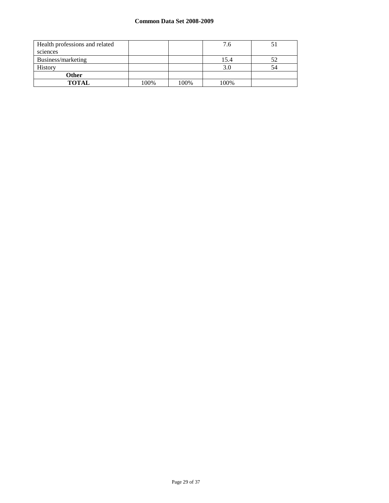# **Common Data Set 2008-2009**

| Health professions and related |      |      | 7.6  |    |
|--------------------------------|------|------|------|----|
| sciences                       |      |      |      |    |
| Business/marketing             |      |      | 15.4 | 52 |
| <b>History</b>                 |      |      | 3.0  | 54 |
| <b>Other</b>                   |      |      |      |    |
| <b>TOTAL</b>                   | 100% | 100% | 100% |    |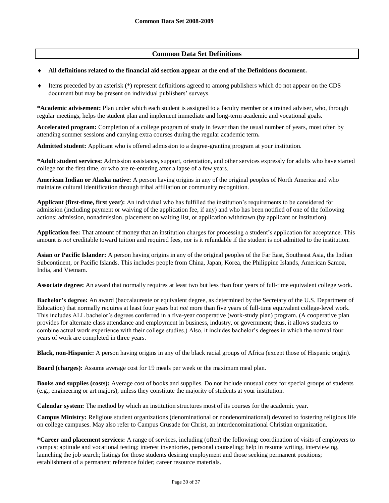# **Common Data Set Definitions**

#### **All definitions related to the financial aid section appear at the end of the Definitions document.**

 $\bullet$  Items preceded by an asterisk (\*) represent definitions agreed to among publishers which do not appear on the CDS document but may be present on individual publishers' surveys.

**\*Academic advisement:** Plan under which each student is assigned to a faculty member or a trained adviser, who, through regular meetings, helps the student plan and implement immediate and long-term academic and vocational goals.

**Accelerated program:** Completion of a college program of study in fewer than the usual number of years, most often by attending summer sessions and carrying extra courses during the regular academic term**.**

**Admitted student:** Applicant who is offered admission to a degree-granting program at your institution.

**\*Adult student services:** Admission assistance, support, orientation, and other services expressly for adults who have started college for the first time, or who are re-entering after a lapse of a few years.

**American Indian or Alaska native:** A person having origins in any of the original peoples of North America and who maintains cultural identification through tribal affiliation or community recognition.

**Applicant (first-time, first year):** An individual who has fulfilled the institution's requirements to be considered for admission (including payment or waiving of the application fee, if any) and who has been notified of one of the following actions: admission, nonadmission, placement on waiting list, or application withdrawn (by applicant or institution).

**Application fee:** That amount of money that an institution charges for processing a student's application for acceptance. This amount is *not* creditable toward tuition and required fees, nor is it refundable if the student is not admitted to the institution.

**Asian or Pacific Islander:** A person having origins in any of the original peoples of the Far East, Southeast Asia, the Indian Subcontinent, or Pacific Islands. This includes people from China, Japan, Korea, the Philippine Islands, American Samoa, India, and Vietnam.

**Associate degree:** An award that normally requires at least two but less than four years of full-time equivalent college work.

**Bachelor's degree:** An award (baccalaureate or equivalent degree, as determined by the Secretary of the U.S. Department of Education) that normally requires at least four years but *not* more than five years of full-time equivalent college-level work. This includes ALL bachelor's degrees conferred in a five-year cooperative (work-study plan) program. (A cooperative plan provides for alternate class attendance and employment in business, industry, or government; thus, it allows students to combine actual work experience with their college studies.) Also, it includes bachelor's degrees in which the normal four years of work are completed in three years.

**Black, non-Hispanic:** A person having origins in any of the black racial groups of Africa (except those of Hispanic origin).

**Board (charges):** Assume average cost for 19 meals per week or the maximum meal plan.

**Books and supplies (costs):** Average cost of books and supplies. Do not include unusual costs for special groups of students (e.g., engineering or art majors), unless they constitute the majority of students at your institution.

**Calendar system:** The method by which an institution structures most of its courses for the academic year.

**Campus Ministry:** Religious student organizations (denominational or nondenominational) devoted to fostering religious life on college campuses. May also refer to Campus Crusade for Christ, an interdenominational Christian organization.

**\*Career and placement services:** A range of services, including (often) the following: coordination of visits of employers to campus; aptitude and vocational testing; interest inventories, personal counseling; help in resume writing, interviewing, launching the job search; listings for those students desiring employment and those seeking permanent positions; establishment of a permanent reference folder; career resource materials.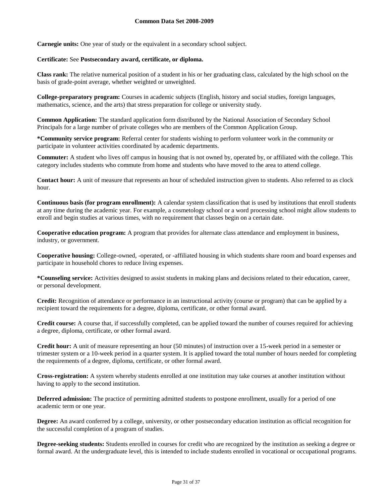**Carnegie units:** One year of study or the equivalent in a secondary school subject.

#### **Certificate:** See **Postsecondary award, certificate, or diploma.**

**Class rank:** The relative numerical position of a student in his or her graduating class, calculated by the high school on the basis of grade-point average, whether weighted or unweighted.

**College-preparatory program:** Courses in academic subjects (English, history and social studies, foreign languages, mathematics, science, and the arts) that stress preparation for college or university study.

**Common Application:** The standard application form distributed by the National Association of Secondary School Principals for a large number of private colleges who are members of the Common Application Group.

**\*Community service program:** Referral center for students wishing to perform volunteer work in the community or participate in volunteer activities coordinated by academic departments.

**Commuter:** A student who lives off campus in housing that is not owned by, operated by, or affiliated with the college. This category includes students who commute from home and students who have moved to the area to attend college.

**Contact hour:** A unit of measure that represents an hour of scheduled instruction given to students. Also referred to as clock hour.

**Continuous basis (for program enrollment):** A calendar system classification that is used by institutions that enroll students at any time during the academic year. For example, a cosmetology school or a word processing school might allow students to enroll and begin studies at various times, with no requirement that classes begin on a certain date.

**Cooperative education program:** A program that provides for alternate class attendance and employment in business, industry, or government.

**Cooperative housing:** College-owned, -operated, or -affiliated housing in which students share room and board expenses and participate in household chores to reduce living expenses.

**\*Counseling service:** Activities designed to assist students in making plans and decisions related to their education, career, or personal development.

**Credit:** Recognition of attendance or performance in an instructional activity (course or program) that can be applied by a recipient toward the requirements for a degree, diploma, certificate, or other formal award.

**Credit course:** A course that, if successfully completed, can be applied toward the number of courses required for achieving a degree, diploma, certificate, or other formal award.

**Credit hour:** A unit of measure representing an hour (50 minutes) of instruction over a 15-week period in a semester or trimester system or a 10-week period in a quarter system. It is applied toward the total number of hours needed for completing the requirements of a degree, diploma, certificate, or other formal award.

**Cross-registration:** A system whereby students enrolled at one institution may take courses at another institution without having to apply to the second institution.

**Deferred admission:** The practice of permitting admitted students to postpone enrollment, usually for a period of one academic term or one year.

**Degree:** An award conferred by a college, university, or other postsecondary education institution as official recognition for the successful completion of a program of studies.

**Degree-seeking students:** Students enrolled in courses for credit who are recognized by the institution as seeking a degree or formal award. At the undergraduate level, this is intended to include students enrolled in vocational or occupational programs.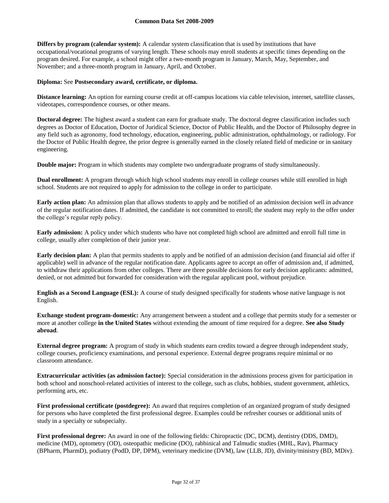**Differs by program (calendar system):** A calendar system classification that is used by institutions that have occupational/vocational programs of varying length. These schools may enroll students at specific times depending on the program desired. For example, a school might offer a two-month program in January, March, May, September, and November; and a three-month program in January, April, and October.

#### **Diploma:** See **Postsecondary award, certificate, or diploma.**

**Distance learning:** An option for earning course credit at off-campus locations via cable television, internet, satellite classes, videotapes, correspondence courses, or other means.

**Doctoral degree:** The highest award a student can earn for graduate study. The doctoral degree classification includes such degrees as Doctor of Education, Doctor of Juridical Science, Doctor of Public Health, and the Doctor of Philosophy degree in any field such as agronomy, food technology, education, engineering, public administration, ophthalmology, or radiology. For the Doctor of Public Health degree, the prior degree is generally earned in the closely related field of medicine or in sanitary engineering.

**Double major:** Program in which students may complete two undergraduate programs of study simultaneously.

**Dual enrollment:** A program through which high school students may enroll in college courses while still enrolled in high school. Students are not required to apply for admission to the college in order to participate.

**Early action plan:** An admission plan that allows students to apply and be notified of an admission decision well in advance of the regular notification dates. If admitted, the candidate is not committed to enroll; the student may reply to the offer under the college's regular reply policy.

**Early admission:** A policy under which students who have not completed high school are admitted and enroll full time in college, usually after completion of their junior year.

**Early decision plan:** A plan that permits students to apply and be notified of an admission decision (and financial aid offer if applicable) well in advance of the regular notification date. Applicants agree to accept an offer of admission and, if admitted, to withdraw their applications from other colleges. There are three possible decisions for early decision applicants: admitted, denied, or not admitted but forwarded for consideration with the regular applicant pool, without prejudice.

**English as a Second Language (ESL):** A course of study designed specifically for students whose native language is not English.

**Exchange student program-domestic:** Any arrangement between a student and a college that permits study for a semester or more at another college **in the United States** without extending the amount of time required for a degree. **See also Study abroad**.

**External degree program:** A program of study in which students earn credits toward a degree through independent study, college courses, proficiency examinations, and personal experience. External degree programs require minimal or no classroom attendance.

**Extracurricular activities (as admission factor):** Special consideration in the admissions process given for participation in both school and nonschool-related activities of interest to the college, such as clubs, hobbies, student government, athletics, performing arts, etc.

**First professional certificate (postdegree):** An award that requires completion of an organized program of study designed for persons who have completed the first professional degree. Examples could be refresher courses or additional units of study in a specialty or subspecialty.

**First professional degree:** An award in one of the following fields: Chiropractic (DC, DCM), dentistry (DDS, DMD), medicine (MD), optometry (OD), osteopathic medicine (DO), rabbinical and Talmudic studies (MHL, Rav), Pharmacy (BPharm, PharmD), podiatry (PodD, DP, DPM), veterinary medicine (DVM), law (LLB, JD), divinity/ministry (BD, MDiv).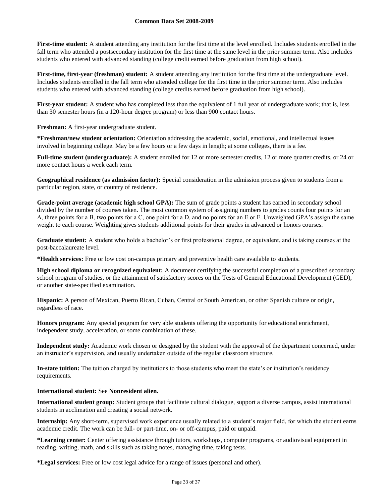## **Common Data Set 2008-2009**

First-time student: A student attending any institution for the first time at the level enrolled. Includes students enrolled in the fall term who attended a postsecondary institution for the first time at the same level in the prior summer term. Also includes students who entered with advanced standing (college credit earned before graduation from high school).

**First-time, first-year (freshman) student:** A student attending any institution for the first time at the undergraduate level. Includes students enrolled in the fall term who attended college for the first time in the prior summer term. Also includes students who entered with advanced standing (college credits earned before graduation from high school).

**First-year student:** A student who has completed less than the equivalent of 1 full year of undergraduate work; that is, less than 30 semester hours (in a 120-hour degree program) or less than 900 contact hours.

**Freshman:** A first-year undergraduate student.

**\*Freshman/new student orientation:** Orientation addressing the academic, social, emotional, and intellectual issues involved in beginning college. May be a few hours or a few days in length; at some colleges, there is a fee.

**Full-time student (undergraduate):** A student enrolled for 12 or more semester credits, 12 or more quarter credits, or 24 or more contact hours a week each term.

**Geographical residence (as admission factor):** Special consideration in the admission process given to students from a particular region, state, or country of residence.

**Grade-point average (academic high school GPA):** The sum of grade points a student has earned in secondary school divided by the number of courses taken. The most common system of assigning numbers to grades counts four points for an A, three points for a B, two points for a C, one point for a D, and no points for an E or F. Unweighted GPA's assign the same weight to each course. Weighting gives students additional points for their grades in advanced or honors courses.

**Graduate student:** A student who holds a bachelor's or first professional degree, or equivalent, and is taking courses at the post-baccalaureate level.

**\*Health services:** Free or low cost on-campus primary and preventive health care available to students.

**High school diploma or recognized equivalent:** A document certifying the successful completion of a prescribed secondary school program of studies, or the attainment of satisfactory scores on the Tests of General Educational Development (GED), or another state-specified examination.

**Hispanic:** A person of Mexican, Puerto Rican, Cuban, Central or South American, or other Spanish culture or origin, regardless of race.

**Honors program:** Any special program for very able students offering the opportunity for educational enrichment, independent study, acceleration, or some combination of these.

**Independent study:** Academic work chosen or designed by the student with the approval of the department concerned, under an instructor's supervision, and usually undertaken outside of the regular classroom structure.

**In-state tuition:** The tuition charged by institutions to those students who meet the state's or institution's residency requirements.

# **International student:** See **Nonresident alien.**

**International student group:** Student groups that facilitate cultural dialogue, support a diverse campus, assist international students in acclimation and creating a social network.

**Internship:** Any short-term, supervised work experience usually related to a student's major field, for which the student earns academic credit. The work can be full- or part-time, on- or off-campus, paid or unpaid.

**\*Learning center:** Center offering assistance through tutors, workshops, computer programs, or audiovisual equipment in reading, writing, math, and skills such as taking notes, managing time, taking tests.

**\*Legal services:** Free or low cost legal advice for a range of issues (personal and other).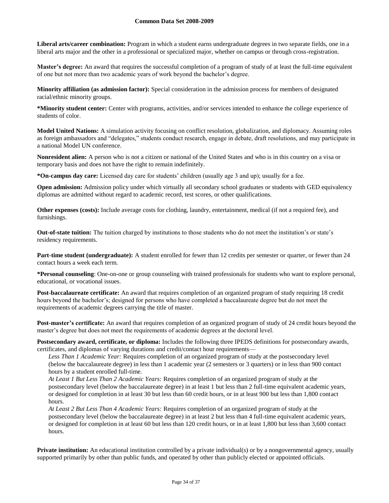## **Common Data Set 2008-2009**

**Liberal arts/career combination:** Program in which a student earns undergraduate degrees in two separate fields, one in a liberal arts major and the other in a professional or specialized major, whether on campus or through cross-registration.

**Master's degree:** An award that requires the successful completion of a program of study of at least the full-time equivalent of one but not more than two academic years of work beyond the bachelor's degree.

**Minority affiliation (as admission factor):** Special consideration in the admission process for members of designated racial/ethnic minority groups.

**\*Minority student center:** Center with programs, activities, and/or services intended to enhance the college experience of students of color.

**Model United Nations:** A simulation activity focusing on conflict resolution, globalization, and diplomacy. Assuming roles as foreign ambassadors and "delegates," students conduct research, engage in debate, draft resolutions, and may participate in a national Model UN conference.

**Nonresident alien:** A person who is not a citizen or national of the United States and who is in this country on a visa or temporary basis and does not have the right to remain indefinitely.

**\*On-campus day care:** Licensed day care for students' children (usually age 3 and up); usually for a fee.

**Open admission:** Admission policy under which virtually all secondary school graduates or students with GED equivalency diplomas are admitted without regard to academic record, test scores, or other qualifications.

**Other expenses (costs):** Include average costs for clothing, laundry, entertainment, medical (if not a required fee), and furnishings.

**Out-of-state tuition:** The tuition charged by institutions to those students who do not meet the institution's or state's residency requirements.

**Part-time student (undergraduate):** A student enrolled for fewer than 12 credits per semester or quarter, or fewer than 24 contact hours a week each term.

**\*Personal counseling**: One-on-one or group counseling with trained professionals for students who want to explore personal, educational, or vocational issues.

**Post-baccalaureate certificate:** An award that requires completion of an organized program of study requiring 18 credit hours beyond the bachelor's; designed for persons who have completed a baccalaureate degree but do not meet the requirements of academic degrees carrying the title of master.

**Post-master's certificate:** An award that requires completion of an organized program of study of 24 credit hours beyond the master's degree but does not meet the requirements of academic degrees at the doctoral level.

**Postsecondary award, certificate, or diploma:** Includes the following three IPEDS definitions for postsecondary awards, certificates, and diplomas of varying durations and credit/contact hour requirements—

*Less Than 1 Academic Year:* Requires completion of an organized program of study at the postsecondary level (below the baccalaureate degree) in less than 1 academic year (2 semesters or 3 quarters) or in less than 900 contact hours by a student enrolled full-time.

*At Least 1 But Less Than 2 Academic Years:* Requires completion of an organized program of study at the postsecondary level (below the baccalaureate degree) in at least 1 but less than 2 full-time equivalent academic years, or designed for completion in at least 30 but less than 60 credit hours, or in at least 900 but less than 1,800 contact hours.

*At Least 2 But Less Than 4 Academic Years:* Requires completion of an organized program of study at the postsecondary level (below the baccalaureate degree) in at least 2 but less than 4 full-time equivalent academic years, or designed for completion in at least 60 but less than 120 credit hours, or in at least 1,800 but less than 3,600 contact hours.

**Private institution:** An educational institution controlled by a private individual(s) or by a nongovernmental agency, usually supported primarily by other than public funds, and operated by other than publicly elected or appointed officials.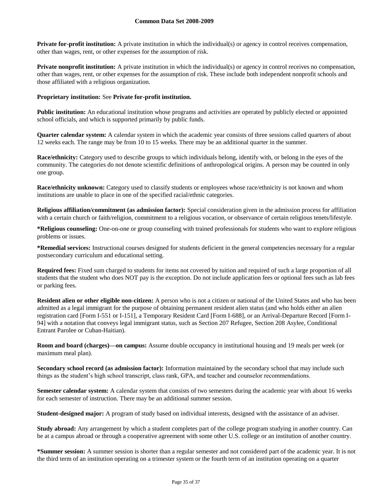**Private for-profit institution:** A private institution in which the individual(s) or agency in control receives compensation, other than wages, rent, or other expenses for the assumption of risk.

**Private nonprofit institution:** A private institution in which the individual(s) or agency in control receives no compensation, other than wages, rent, or other expenses for the assumption of risk. These include both independent nonprofit schools and those affiliated with a religious organization.

### **Proprietary institution:** See **Private for-profit institution.**

**Public institution:** An educational institution whose programs and activities are operated by publicly elected or appointed school officials, and which is supported primarily by public funds.

**Quarter calendar system:** A calendar system in which the academic year consists of three sessions called quarters of about 12 weeks each. The range may be from 10 to 15 weeks. There may be an additional quarter in the summer.

**Race/ethnicity:** Category used to describe groups to which individuals belong, identify with, or belong in the eyes of the community. The categories do not denote scientific definitions of anthropological origins. A person may be counted in only one group.

**Race/ethnicity unknown:** Category used to classify students or employees whose race/ethnicity is not known and whom institutions are unable to place in one of the specified racial/ethnic categories.

**Religious affiliation/commitment (as admission factor):** Special consideration given in the admission process for affiliation with a certain church or faith/religion, commitment to a religious vocation, or observance of certain religious tenets/lifestyle.

**\*Religious counseling:** One-on-one or group counseling with trained professionals for students who want to explore religious problems or issues.

**\*Remedial services:** Instructional courses designed for students deficient in the general competencies necessary for a regular postsecondary curriculum and educational setting.

**Required fees:** Fixed sum charged to students for items not covered by tuition and required of such a large proportion of all students that the student who does NOT pay is the exception. Do not include application fees or optional fees such as lab fees or parking fees.

**Resident alien or other eligible non-citizen:** A person who is not a citizen or national of the United States and who has been admitted as a legal immigrant for the purpose of obtaining permanent resident alien status (and who holds either an alien registration card [Form I-551 or I-151], a Temporary Resident Card [Form I-688], or an Arrival-Departure Record [Form I-94] with a notation that conveys legal immigrant status, such as Section 207 Refugee, Section 208 Asylee, Conditional Entrant Parolee or Cuban-Haitian).

**Room and board (charges)—on campus:** Assume double occupancy in institutional housing and 19 meals per week (or maximum meal plan).

**Secondary school record (as admission factor):** Information maintained by the secondary school that may include such things as the student's high school transcript, class rank, GPA, and teacher and counselor recommendations.

**Semester calendar system:** A calendar system that consists of two semesters during the academic year with about 16 weeks for each semester of instruction. There may be an additional summer session.

**Student-designed major:** A program of study based on individual interests, designed with the assistance of an adviser.

**Study abroad:** Any arrangement by which a student completes part of the college program studying in another country. Can be at a campus abroad or through a cooperative agreement with some other U.S. college or an institution of another country.

**\*Summer session:** A summer session is shorter than a regular semester and not considered part of the academic year. It is not the third term of an institution operating on a trimester system or the fourth term of an institution operating on a quarter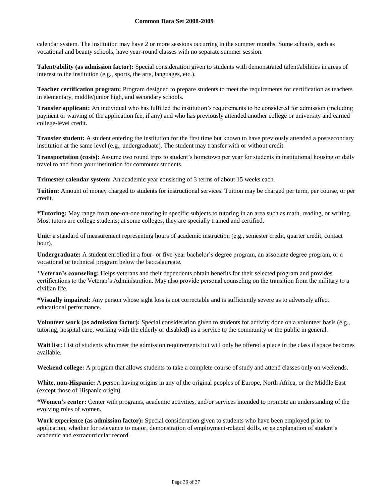## **Common Data Set 2008-2009**

calendar system. The institution may have 2 or more sessions occurring in the summer months. Some schools, such as vocational and beauty schools, have year-round classes with no separate summer session.

**Talent/ability (as admission factor):** Special consideration given to students with demonstrated talent/abilities in areas of interest to the institution (e.g., sports, the arts, languages, etc.).

**Teacher certification program:** Program designed to prepare students to meet the requirements for certification as teachers in elementary, middle/junior high, and secondary schools.

**Transfer applicant:** An individual who has fulfilled the institution's requirements to be considered for admission (including payment or waiving of the application fee, if any) and who has previously attended another college or university and earned college-level credit.

**Transfer student:** A student entering the institution for the first time but known to have previously attended a postsecondary institution at the same level (e.g., undergraduate). The student may transfer with or without credit.

**Transportation (costs):** Assume two round trips to student's hometown per year for students in institutional housing or daily travel to and from your institution for commuter students.

**Trimester calendar system:** An academic year consisting of 3 terms of about 15 weeks each.

**Tuition:** Amount of money charged to students for instructional services. Tuition may be charged per term, per course, or per credit.

**\*Tutoring:** May range from one-on-one tutoring in specific subjects to tutoring in an area such as math, reading, or writing. Most tutors are college students; at some colleges, they are specially trained and certified.

Unit: a standard of measurement representing hours of academic instruction (e.g., semester credit, quarter credit, contact hour).

**Undergraduate:** A student enrolled in a four- or five-year bachelor's degree program, an associate degree program, or a vocational or technical program below the baccalaureate.

**\*Veteran's counseling:** Helps veterans and their dependents obtain benefits for their selected program and provides certifications to the Veteran's Administration. May also provide personal counseling on the transition from the military to a civilian life.

**\*Visually impaired:** Any person whose sight loss is not correctable and is sufficiently severe as to adversely affect educational performance.

**Volunteer work (as admission factor):** Special consideration given to students for activity done on a volunteer basis (e.g., tutoring, hospital care, working with the elderly or disabled) as a service to the community or the public in general.

Wait list: List of students who meet the admission requirements but will only be offered a place in the class if space becomes available.

**Weekend college:** A program that allows students to take a complete course of study and attend classes only on weekends.

**White, non-Hispanic:** A person having origins in any of the original peoples of Europe, North Africa, or the Middle East (except those of Hispanic origin).

**\*Women's center:** Center with programs, academic activities, and/or services intended to promote an understanding of the evolving roles of women.

**Work experience (as admission factor):** Special consideration given to students who have been employed prior to application, whether for relevance to major, demonstration of employment-related skills, or as explanation of student's academic and extracurricular record.